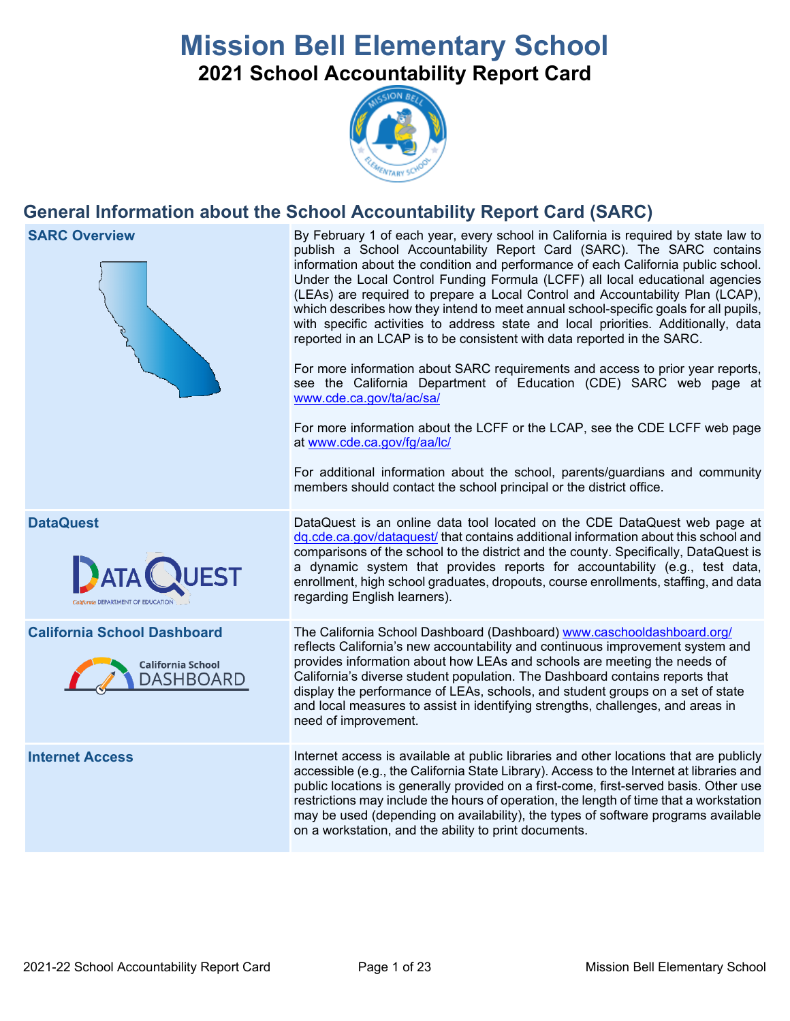# **Mission Bell Elementary School 2021 School Accountability Report Card**



## **General Information about the School Accountability Report Card (SARC)**

**SARC Overview** By February 1 of each year, every school in California is required by state law to publish a School Accountability Report Card (SARC). The SARC contains information about the condition and performance of each California public school. Under the Local Control Funding Formula (LCFF) all local educational agencies (LEAs) are required to prepare a Local Control and Accountability Plan (LCAP), which describes how they intend to meet annual school-specific goals for all pupils, with specific activities to address state and local priorities. Additionally, data reported in an LCAP is to be consistent with data reported in the SARC. For more information about SARC requirements and access to prior year reports, see the California Department of Education (CDE) SARC web page at [www.cde.ca.gov/ta/ac/sa/](https://www.cde.ca.gov/ta/ac/sa/) For more information about the LCFF or the LCAP, see the CDE LCFF web page at [www.cde.ca.gov/fg/aa/lc/](https://www.cde.ca.gov/fg/aa/lc/) For additional information about the school, parents/guardians and community members should contact the school principal or the district office. **DataQuest** DataQuest is an online data tool located on the CDE DataQuest web page at [dq.cde.ca.gov/dataquest/](https://dq.cde.ca.gov/dataquest/) that contains additional information about this school and comparisons of the school to the district and the county. Specifically, DataQuest is a dynamic system that provides reports for accountability (e.g., test data, enrollment, high school graduates, dropouts, course enrollments, staffing, and data regarding English learners). **California School Dashboard** The California School Dashboard (Dashboard) [www.caschooldashboard.org/](http://www.caschooldashboard.org/) reflects California's new accountability and continuous improvement system and provides information about how LEAs and schools are meeting the needs of **California School** California's diverse student population. The Dashboard contains reports that DASHBOARD display the performance of LEAs, schools, and student groups on a set of state and local measures to assist in identifying strengths, challenges, and areas in need of improvement. **Internet Access** Internet access is available at public libraries and other locations that are publicly accessible (e.g., the California State Library). Access to the Internet at libraries and public locations is generally provided on a first-come, first-served basis. Other use restrictions may include the hours of operation, the length of time that a workstation may be used (depending on availability), the types of software programs available

on a workstation, and the ability to print documents.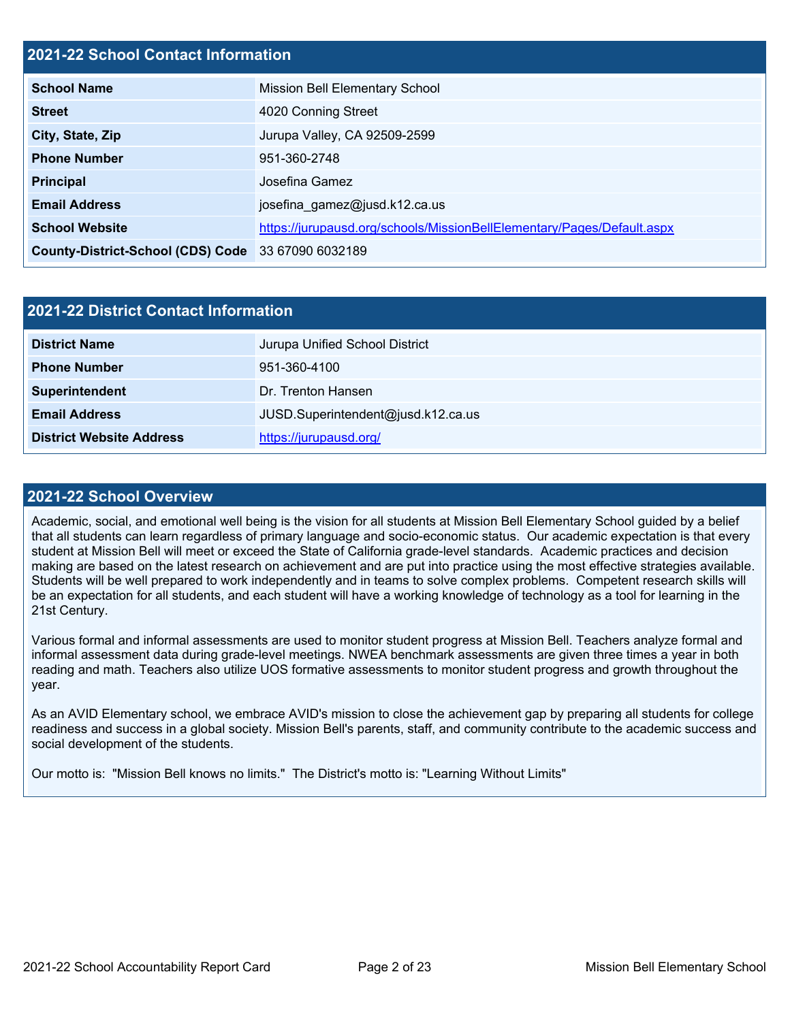## **2021-22 School Contact Information**

| <b>School Name</b>                                 | <b>Mission Bell Elementary School</b>                                  |
|----------------------------------------------------|------------------------------------------------------------------------|
| <b>Street</b>                                      | 4020 Conning Street                                                    |
| City, State, Zip                                   | Jurupa Valley, CA 92509-2599                                           |
| <b>Phone Number</b>                                | 951-360-2748                                                           |
| <b>Principal</b>                                   | Josefina Gamez                                                         |
| <b>Email Address</b>                               | josefina gamez@jusd.k12.ca.us                                          |
| <b>School Website</b>                              | https://jurupausd.org/schools/MissionBellElementary/Pages/Default.aspx |
| County-District-School (CDS) Code 33 67090 6032189 |                                                                        |

| 2021-22 District Contact Information |                                    |  |  |  |  |
|--------------------------------------|------------------------------------|--|--|--|--|
| <b>District Name</b>                 | Jurupa Unified School District     |  |  |  |  |
| <b>Phone Number</b>                  | 951-360-4100                       |  |  |  |  |
| Superintendent                       | Dr. Trenton Hansen                 |  |  |  |  |
| <b>Email Address</b>                 | JUSD.Superintendent@jusd.k12.ca.us |  |  |  |  |
| <b>District Website Address</b>      | https://jurupausd.org/             |  |  |  |  |

#### **2021-22 School Overview**

Academic, social, and emotional well being is the vision for all students at Mission Bell Elementary School guided by a belief that all students can learn regardless of primary language and socio-economic status. Our academic expectation is that every student at Mission Bell will meet or exceed the State of California grade-level standards. Academic practices and decision making are based on the latest research on achievement and are put into practice using the most effective strategies available. Students will be well prepared to work independently and in teams to solve complex problems. Competent research skills will be an expectation for all students, and each student will have a working knowledge of technology as a tool for learning in the 21st Century.

Various formal and informal assessments are used to monitor student progress at Mission Bell. Teachers analyze formal and informal assessment data during grade-level meetings. NWEA benchmark assessments are given three times a year in both reading and math. Teachers also utilize UOS formative assessments to monitor student progress and growth throughout the year.

As an AVID Elementary school, we embrace AVID's mission to close the achievement gap by preparing all students for college readiness and success in a global society. Mission Bell's parents, staff, and community contribute to the academic success and social development of the students.

Our motto is: "Mission Bell knows no limits." The District's motto is: "Learning Without Limits"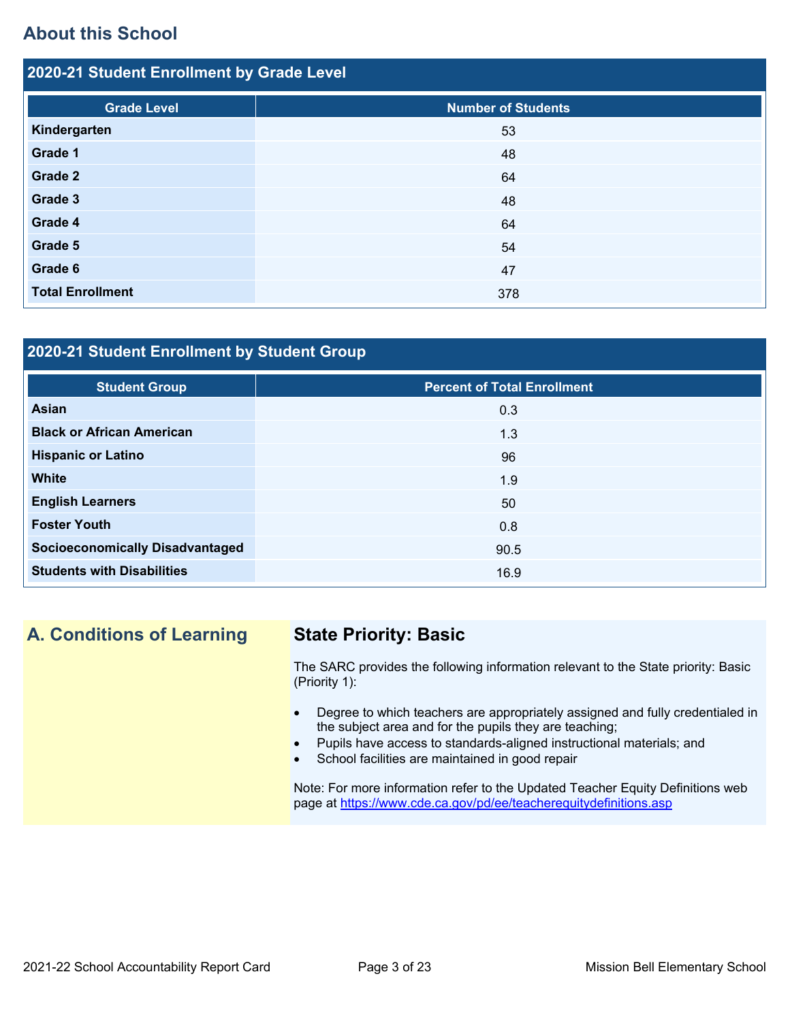## **About this School**

| 2020-21 Student Enrollment by Grade Level |                           |  |  |  |  |
|-------------------------------------------|---------------------------|--|--|--|--|
| <b>Grade Level</b>                        | <b>Number of Students</b> |  |  |  |  |
| Kindergarten                              | 53                        |  |  |  |  |
| Grade 1                                   | 48                        |  |  |  |  |
| Grade 2                                   | 64                        |  |  |  |  |
| Grade 3                                   | 48                        |  |  |  |  |
| Grade 4                                   | 64                        |  |  |  |  |
| Grade 5                                   | 54                        |  |  |  |  |
| Grade 6                                   | 47                        |  |  |  |  |
| <b>Total Enrollment</b>                   | 378                       |  |  |  |  |

## **2020-21 Student Enrollment by Student Group**

| <b>Student Group</b>                   | <b>Percent of Total Enrollment</b> |
|----------------------------------------|------------------------------------|
| Asian                                  | 0.3                                |
| <b>Black or African American</b>       | 1.3                                |
| <b>Hispanic or Latino</b>              | 96                                 |
| <b>White</b>                           | 1.9                                |
| <b>English Learners</b>                | 50                                 |
| <b>Foster Youth</b>                    | 0.8                                |
| <b>Socioeconomically Disadvantaged</b> | 90.5                               |
| <b>Students with Disabilities</b>      | 16.9                               |

**A. Conditions of Learning State Priority: Basic**

The SARC provides the following information relevant to the State priority: Basic (Priority 1):

- Degree to which teachers are appropriately assigned and fully credentialed in the subject area and for the pupils they are teaching;
- Pupils have access to standards-aligned instructional materials; and
- School facilities are maintained in good repair

Note: For more information refer to the Updated Teacher Equity Definitions web page at<https://www.cde.ca.gov/pd/ee/teacherequitydefinitions.asp>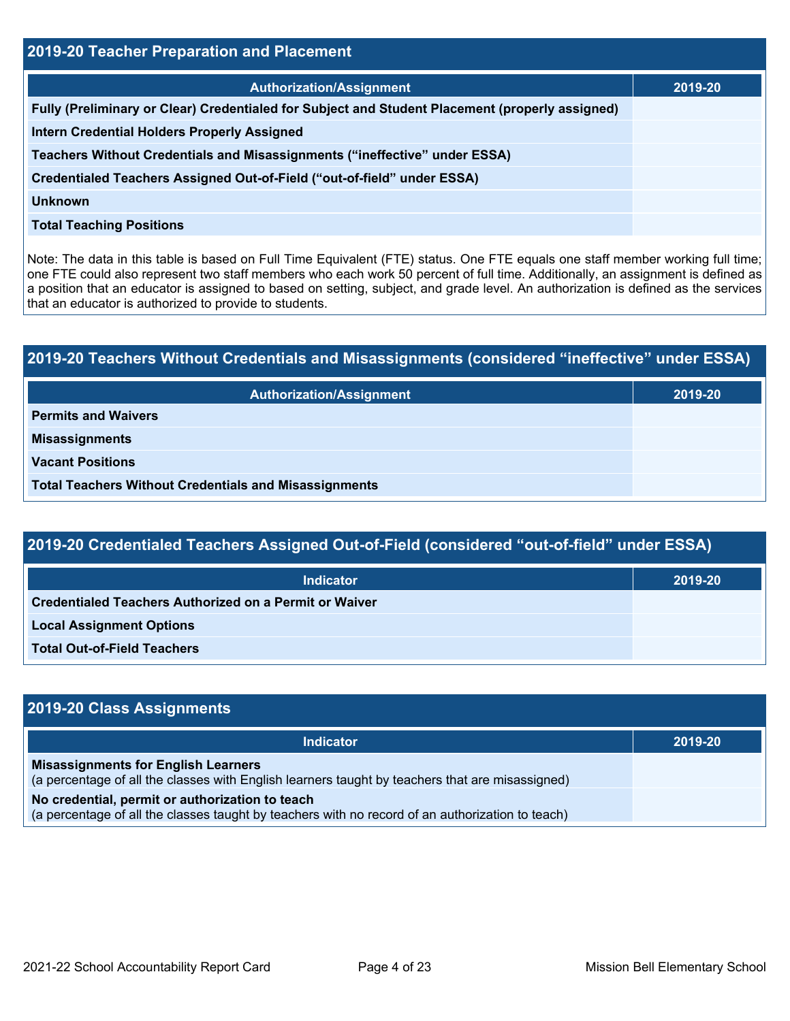| 2019-20 Teacher Preparation and Placement                                                       |         |  |  |  |  |
|-------------------------------------------------------------------------------------------------|---------|--|--|--|--|
| <b>Authorization/Assignment</b>                                                                 | 2019-20 |  |  |  |  |
| Fully (Preliminary or Clear) Credentialed for Subject and Student Placement (properly assigned) |         |  |  |  |  |
| <b>Intern Credential Holders Properly Assigned</b>                                              |         |  |  |  |  |
| Teachers Without Credentials and Misassignments ("ineffective" under ESSA)                      |         |  |  |  |  |
| Credentialed Teachers Assigned Out-of-Field ("out-of-field" under ESSA)                         |         |  |  |  |  |
| Unknown                                                                                         |         |  |  |  |  |
| <b>Total Teaching Positions</b>                                                                 |         |  |  |  |  |

Note: The data in this table is based on Full Time Equivalent (FTE) status. One FTE equals one staff member working full time; one FTE could also represent two staff members who each work 50 percent of full time. Additionally, an assignment is defined as a position that an educator is assigned to based on setting, subject, and grade level. An authorization is defined as the services that an educator is authorized to provide to students.

# **2019-20 Teachers Without Credentials and Misassignments (considered "ineffective" under ESSA) Authorization/Assignment 2019-20 Permits and Waivers Misassignments Vacant Positions Total Teachers Without Credentials and Misassignments**

| 2019-20 Credentialed Teachers Assigned Out-of-Field (considered "out-of-field" under ESSA) |         |  |  |  |  |
|--------------------------------------------------------------------------------------------|---------|--|--|--|--|
| Indicator                                                                                  | 2019-20 |  |  |  |  |
| <b>Credentialed Teachers Authorized on a Permit or Waiver</b>                              |         |  |  |  |  |
| <b>Local Assignment Options</b>                                                            |         |  |  |  |  |
| <b>Total Out-of-Field Teachers</b>                                                         |         |  |  |  |  |

| 2019-20 Class Assignments                                                                                                                           |         |
|-----------------------------------------------------------------------------------------------------------------------------------------------------|---------|
| <b>Indicator</b>                                                                                                                                    | 2019-20 |
| <b>Misassignments for English Learners</b><br>(a percentage of all the classes with English learners taught by teachers that are misassigned)       |         |
| No credential, permit or authorization to teach<br>(a percentage of all the classes taught by teachers with no record of an authorization to teach) |         |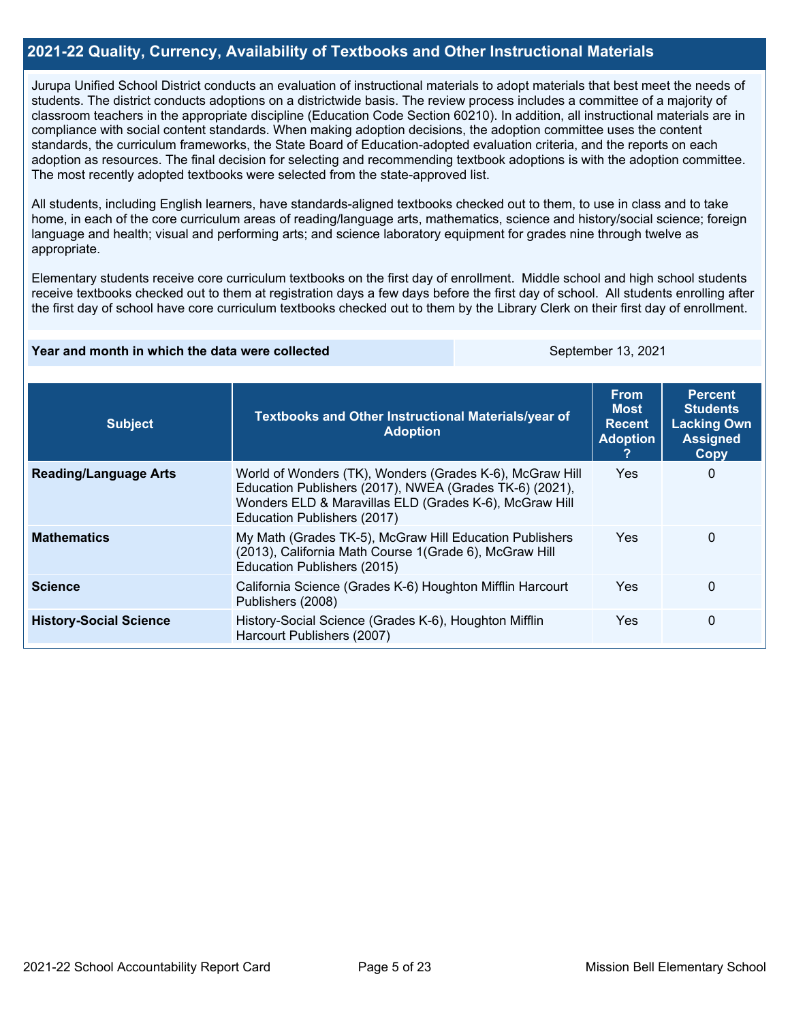## **2021-22 Quality, Currency, Availability of Textbooks and Other Instructional Materials**

Jurupa Unified School District conducts an evaluation of instructional materials to adopt materials that best meet the needs of students. The district conducts adoptions on a districtwide basis. The review process includes a committee of a majority of classroom teachers in the appropriate discipline (Education Code Section 60210). In addition, all instructional materials are in compliance with social content standards. When making adoption decisions, the adoption committee uses the content standards, the curriculum frameworks, the State Board of Education-adopted evaluation criteria, and the reports on each adoption as resources. The final decision for selecting and recommending textbook adoptions is with the adoption committee. The most recently adopted textbooks were selected from the state-approved list.

All students, including English learners, have standards-aligned textbooks checked out to them, to use in class and to take home, in each of the core curriculum areas of reading/language arts, mathematics, science and history/social science; foreign language and health; visual and performing arts; and science laboratory equipment for grades nine through twelve as appropriate.

Elementary students receive core curriculum textbooks on the first day of enrollment. Middle school and high school students receive textbooks checked out to them at registration days a few days before the first day of school. All students enrolling after the first day of school have core curriculum textbooks checked out to them by the Library Clerk on their first day of enrollment.

#### **Year and month in which the data were collected** September 13, 2021

| <b>Subject</b>                | Textbooks and Other Instructional Materials/year of<br><b>Adoption</b>                                                                                                                                       | <b>From</b><br><b>Most</b><br><b>Recent</b><br><b>Adoption</b> | <b>Percent</b><br><b>Students</b><br><b>Lacking Own</b><br><b>Assigned</b><br>Copy |
|-------------------------------|--------------------------------------------------------------------------------------------------------------------------------------------------------------------------------------------------------------|----------------------------------------------------------------|------------------------------------------------------------------------------------|
| <b>Reading/Language Arts</b>  | World of Wonders (TK), Wonders (Grades K-6), McGraw Hill<br>Education Publishers (2017), NWEA (Grades TK-6) (2021),<br>Wonders ELD & Maravillas ELD (Grades K-6), McGraw Hill<br>Education Publishers (2017) | <b>Yes</b>                                                     | 0                                                                                  |
| <b>Mathematics</b>            | My Math (Grades TK-5), McGraw Hill Education Publishers<br>(2013), California Math Course 1(Grade 6), McGraw Hill<br>Education Publishers (2015)                                                             | <b>Yes</b>                                                     | 0                                                                                  |
| <b>Science</b>                | California Science (Grades K-6) Houghton Mifflin Harcourt<br>Publishers (2008)                                                                                                                               | <b>Yes</b>                                                     | $\Omega$                                                                           |
| <b>History-Social Science</b> | History-Social Science (Grades K-6), Houghton Mifflin<br>Harcourt Publishers (2007)                                                                                                                          | <b>Yes</b>                                                     | 0                                                                                  |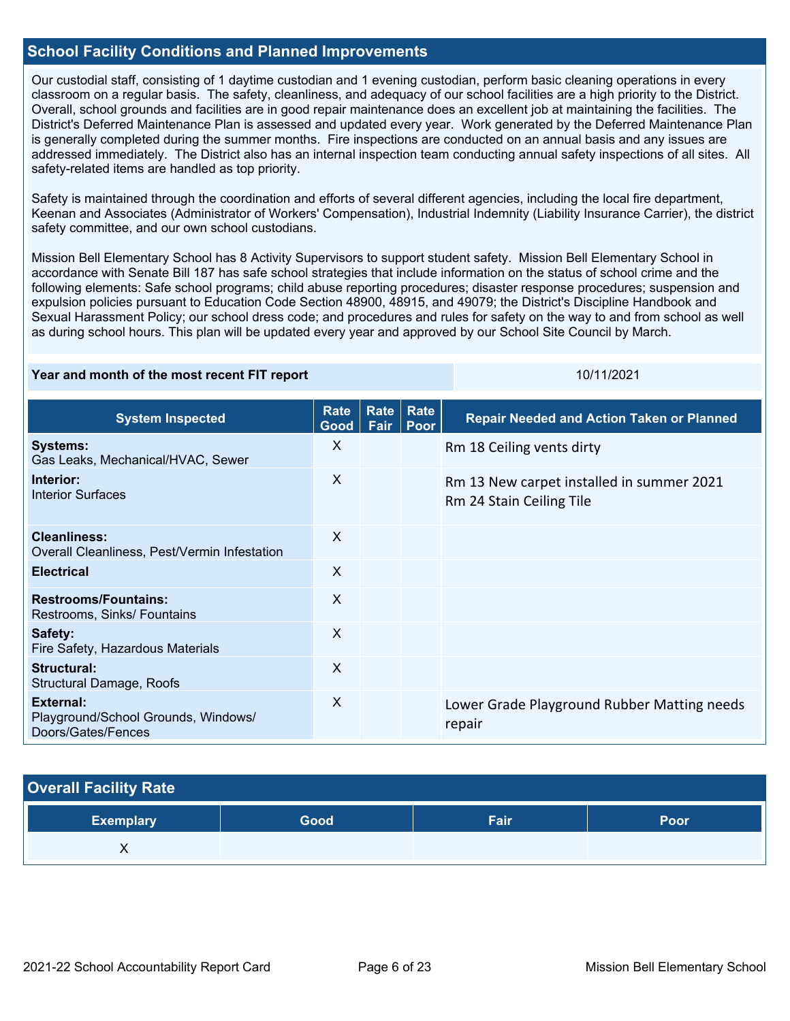## **School Facility Conditions and Planned Improvements**

Our custodial staff, consisting of 1 daytime custodian and 1 evening custodian, perform basic cleaning operations in every classroom on a regular basis. The safety, cleanliness, and adequacy of our school facilities are a high priority to the District. Overall, school grounds and facilities are in good repair maintenance does an excellent job at maintaining the facilities. The District's Deferred Maintenance Plan is assessed and updated every year. Work generated by the Deferred Maintenance Plan is generally completed during the summer months. Fire inspections are conducted on an annual basis and any issues are addressed immediately. The District also has an internal inspection team conducting annual safety inspections of all sites. All safety-related items are handled as top priority.

Safety is maintained through the coordination and efforts of several different agencies, including the local fire department, Keenan and Associates (Administrator of Workers' Compensation), Industrial Indemnity (Liability Insurance Carrier), the district safety committee, and our own school custodians.

Mission Bell Elementary School has 8 Activity Supervisors to support student safety. Mission Bell Elementary School in accordance with Senate Bill 187 has safe school strategies that include information on the status of school crime and the following elements: Safe school programs; child abuse reporting procedures; disaster response procedures; suspension and expulsion policies pursuant to Education Code Section 48900, 48915, and 49079; the District's Discipline Handbook and Sexual Harassment Policy; our school dress code; and procedures and rules for safety on the way to and from school as well as during school hours. This plan will be updated every year and approved by our School Site Council by March.

#### **Year and month of the most recent FIT report** 10/11/2021 10/11/2021

| <b>System Inspected</b>                                                | <b>Rate</b><br>Good       | Rate<br>Fair | Rate<br>Poor | <b>Repair Needed and Action Taken or Planned</b>                      |
|------------------------------------------------------------------------|---------------------------|--------------|--------------|-----------------------------------------------------------------------|
| <b>Systems:</b><br>Gas Leaks, Mechanical/HVAC, Sewer                   | $\times$                  |              |              | Rm 18 Ceiling vents dirty                                             |
| Interior:<br><b>Interior Surfaces</b>                                  | X                         |              |              | Rm 13 New carpet installed in summer 2021<br>Rm 24 Stain Ceiling Tile |
| Cleanliness:<br>Overall Cleanliness, Pest/Vermin Infestation           | $\boldsymbol{\mathsf{X}}$ |              |              |                                                                       |
| <b>Electrical</b>                                                      | X                         |              |              |                                                                       |
| <b>Restrooms/Fountains:</b><br>Restrooms, Sinks/ Fountains             | X                         |              |              |                                                                       |
| Safety:<br>Fire Safety, Hazardous Materials                            | $\boldsymbol{\mathsf{X}}$ |              |              |                                                                       |
| Structural:<br><b>Structural Damage, Roofs</b>                         | X                         |              |              |                                                                       |
| External:<br>Playground/School Grounds, Windows/<br>Doors/Gates/Fences | $\sf X$                   |              |              | Lower Grade Playground Rubber Matting needs<br>repair                 |

#### **Overall Facility Rate**

| <b>Exemplary</b> | <b>Good</b> | Fair | Poor |
|------------------|-------------|------|------|
| ,,               |             |      |      |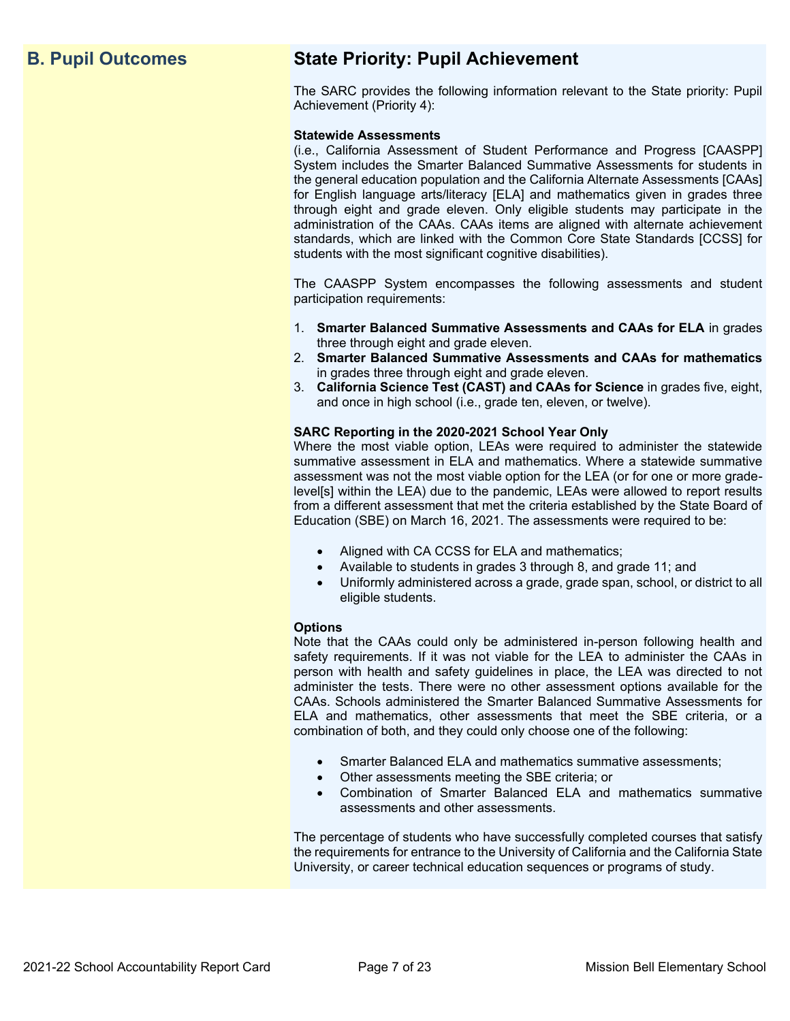## **B. Pupil Outcomes State Priority: Pupil Achievement**

The SARC provides the following information relevant to the State priority: Pupil Achievement (Priority 4):

#### **Statewide Assessments**

(i.e., California Assessment of Student Performance and Progress [CAASPP] System includes the Smarter Balanced Summative Assessments for students in the general education population and the California Alternate Assessments [CAAs] for English language arts/literacy [ELA] and mathematics given in grades three through eight and grade eleven. Only eligible students may participate in the administration of the CAAs. CAAs items are aligned with alternate achievement standards, which are linked with the Common Core State Standards [CCSS] for students with the most significant cognitive disabilities).

The CAASPP System encompasses the following assessments and student participation requirements:

- 1. **Smarter Balanced Summative Assessments and CAAs for ELA** in grades three through eight and grade eleven.
- 2. **Smarter Balanced Summative Assessments and CAAs for mathematics** in grades three through eight and grade eleven.
- 3. **California Science Test (CAST) and CAAs for Science** in grades five, eight, and once in high school (i.e., grade ten, eleven, or twelve).

#### **SARC Reporting in the 2020-2021 School Year Only**

Where the most viable option, LEAs were required to administer the statewide summative assessment in ELA and mathematics. Where a statewide summative assessment was not the most viable option for the LEA (or for one or more gradelevel[s] within the LEA) due to the pandemic, LEAs were allowed to report results from a different assessment that met the criteria established by the State Board of Education (SBE) on March 16, 2021. The assessments were required to be:

- Aligned with CA CCSS for ELA and mathematics;
- Available to students in grades 3 through 8, and grade 11; and
- Uniformly administered across a grade, grade span, school, or district to all eligible students.

#### **Options**

Note that the CAAs could only be administered in-person following health and safety requirements. If it was not viable for the LEA to administer the CAAs in person with health and safety guidelines in place, the LEA was directed to not administer the tests. There were no other assessment options available for the CAAs. Schools administered the Smarter Balanced Summative Assessments for ELA and mathematics, other assessments that meet the SBE criteria, or a combination of both, and they could only choose one of the following:

- Smarter Balanced ELA and mathematics summative assessments;
- Other assessments meeting the SBE criteria; or
- Combination of Smarter Balanced ELA and mathematics summative assessments and other assessments.

The percentage of students who have successfully completed courses that satisfy the requirements for entrance to the University of California and the California State University, or career technical education sequences or programs of study.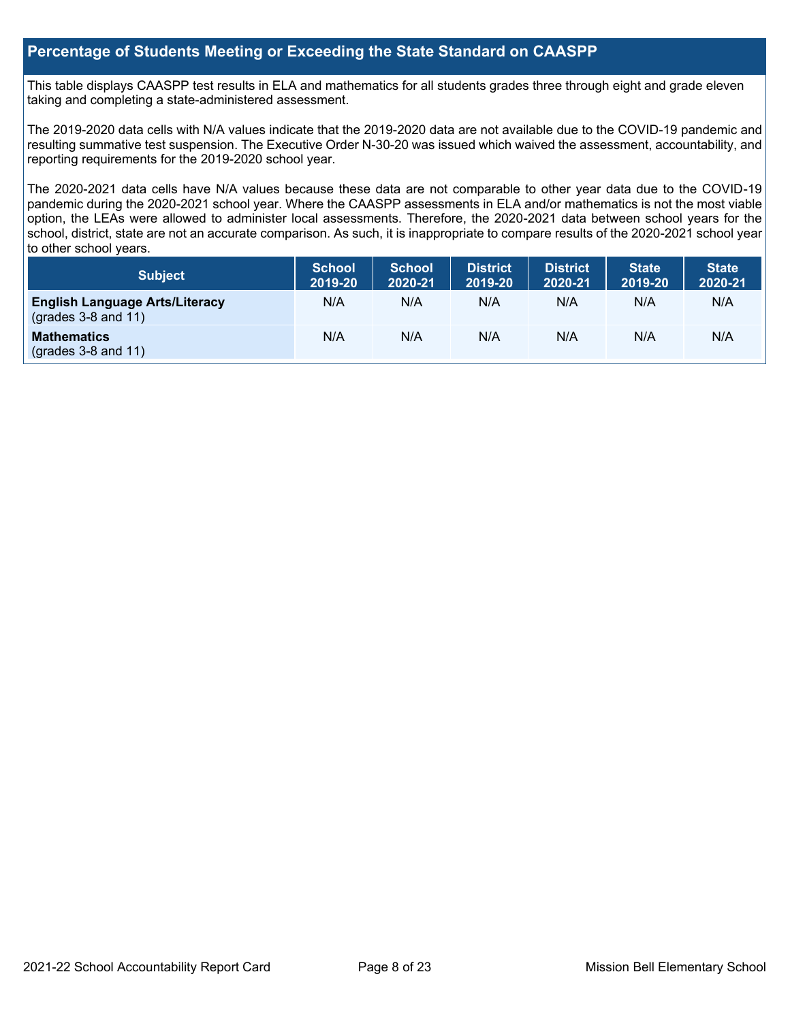## **Percentage of Students Meeting or Exceeding the State Standard on CAASPP**

This table displays CAASPP test results in ELA and mathematics for all students grades three through eight and grade eleven taking and completing a state-administered assessment.

The 2019-2020 data cells with N/A values indicate that the 2019-2020 data are not available due to the COVID-19 pandemic and resulting summative test suspension. The Executive Order N-30-20 was issued which waived the assessment, accountability, and reporting requirements for the 2019-2020 school year.

The 2020-2021 data cells have N/A values because these data are not comparable to other year data due to the COVID-19 pandemic during the 2020-2021 school year. Where the CAASPP assessments in ELA and/or mathematics is not the most viable option, the LEAs were allowed to administer local assessments. Therefore, the 2020-2021 data between school years for the school, district, state are not an accurate comparison. As such, it is inappropriate to compare results of the 2020-2021 school year to other school years.

| Subject                                                        | <b>School</b><br>2019-20 | <b>School</b><br>2020-21 | <b>District</b><br>2019-20 | <b>District</b><br>2020-21 | <b>State</b><br>2019-20 | <b>State</b><br>2020-21 |
|----------------------------------------------------------------|--------------------------|--------------------------|----------------------------|----------------------------|-------------------------|-------------------------|
| <b>English Language Arts/Literacy</b><br>$(grades 3-8 and 11)$ | N/A                      | N/A                      | N/A                        | N/A                        | N/A                     | N/A                     |
| <b>Mathematics</b><br>$($ grades 3-8 and 11 $)$                | N/A                      | N/A                      | N/A                        | N/A                        | N/A                     | N/A                     |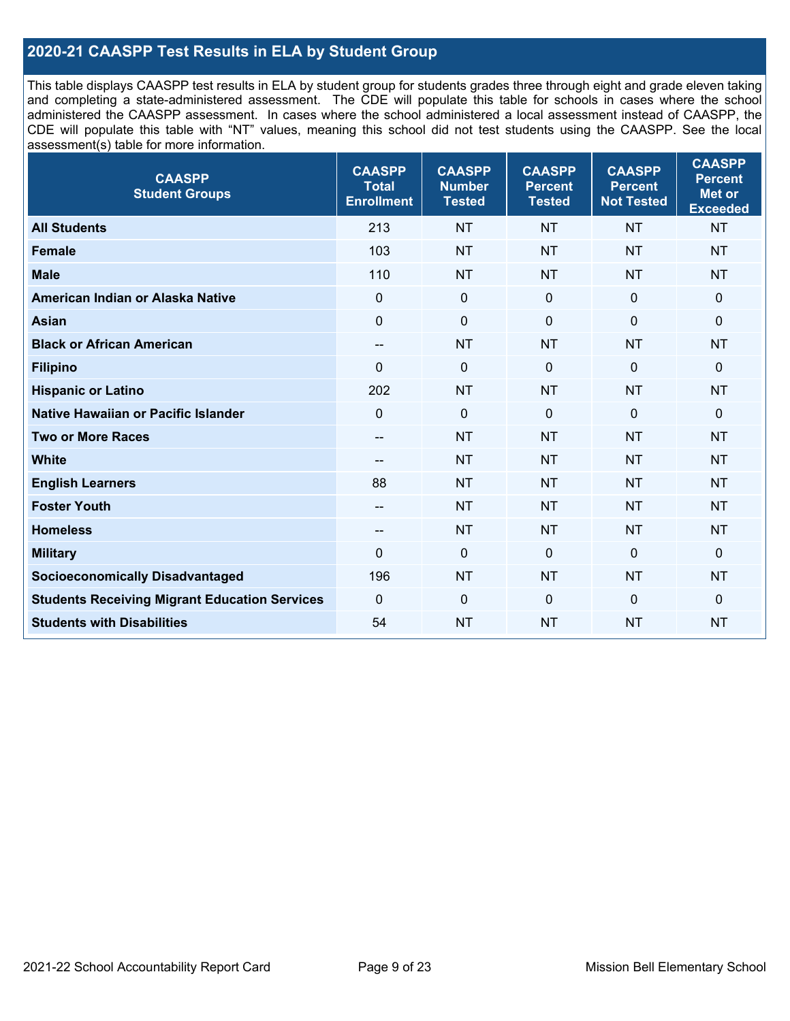## **2020-21 CAASPP Test Results in ELA by Student Group**

This table displays CAASPP test results in ELA by student group for students grades three through eight and grade eleven taking and completing a state-administered assessment. The CDE will populate this table for schools in cases where the school administered the CAASPP assessment. In cases where the school administered a local assessment instead of CAASPP, the CDE will populate this table with "NT" values, meaning this school did not test students using the CAASPP. See the local assessment(s) table for more information.

| <b>CAASPP</b><br><b>Student Groups</b>               | <b>CAASPP</b><br><b>Total</b><br><b>Enrollment</b> | <b>CAASPP</b><br><b>Number</b><br><b>Tested</b> | <b>CAASPP</b><br><b>Percent</b><br><b>Tested</b> | <b>CAASPP</b><br><b>Percent</b><br><b>Not Tested</b> | <b>CAASPP</b><br><b>Percent</b><br><b>Met or</b><br><b>Exceeded</b> |
|------------------------------------------------------|----------------------------------------------------|-------------------------------------------------|--------------------------------------------------|------------------------------------------------------|---------------------------------------------------------------------|
| <b>All Students</b>                                  | 213                                                | <b>NT</b>                                       | <b>NT</b>                                        | <b>NT</b>                                            | <b>NT</b>                                                           |
| <b>Female</b>                                        | 103                                                | <b>NT</b>                                       | <b>NT</b>                                        | <b>NT</b>                                            | <b>NT</b>                                                           |
| <b>Male</b>                                          | 110                                                | <b>NT</b>                                       | <b>NT</b>                                        | <b>NT</b>                                            | <b>NT</b>                                                           |
| American Indian or Alaska Native                     | $\mathbf 0$                                        | $\pmb{0}$                                       | 0                                                | $\mathbf 0$                                          | 0                                                                   |
| <b>Asian</b>                                         | $\mathbf 0$                                        | $\pmb{0}$                                       | $\Omega$                                         | $\mathbf 0$                                          | 0                                                                   |
| <b>Black or African American</b>                     | $\overline{\phantom{a}}$                           | <b>NT</b>                                       | <b>NT</b>                                        | <b>NT</b>                                            | <b>NT</b>                                                           |
| <b>Filipino</b>                                      | $\Omega$                                           | $\mathbf 0$                                     | $\Omega$                                         | $\mathbf 0$                                          | $\mathbf{0}$                                                        |
| <b>Hispanic or Latino</b>                            | 202                                                | <b>NT</b>                                       | <b>NT</b>                                        | <b>NT</b>                                            | <b>NT</b>                                                           |
| <b>Native Hawaiian or Pacific Islander</b>           | $\mathbf 0$                                        | $\mathbf 0$                                     | $\mathbf 0$                                      | $\mathbf 0$                                          | 0                                                                   |
| <b>Two or More Races</b>                             | $-$                                                | <b>NT</b>                                       | <b>NT</b>                                        | <b>NT</b>                                            | <b>NT</b>                                                           |
| <b>White</b>                                         | --                                                 | <b>NT</b>                                       | <b>NT</b>                                        | <b>NT</b>                                            | <b>NT</b>                                                           |
| <b>English Learners</b>                              | 88                                                 | <b>NT</b>                                       | <b>NT</b>                                        | <b>NT</b>                                            | <b>NT</b>                                                           |
| <b>Foster Youth</b>                                  | --                                                 | <b>NT</b>                                       | <b>NT</b>                                        | <b>NT</b>                                            | <b>NT</b>                                                           |
| <b>Homeless</b>                                      | --                                                 | <b>NT</b>                                       | <b>NT</b>                                        | <b>NT</b>                                            | <b>NT</b>                                                           |
| <b>Military</b>                                      | $\mathbf 0$                                        | $\mathbf 0$                                     | $\mathbf 0$                                      | $\mathbf 0$                                          | $\mathbf 0$                                                         |
| <b>Socioeconomically Disadvantaged</b>               | 196                                                | <b>NT</b>                                       | <b>NT</b>                                        | <b>NT</b>                                            | <b>NT</b>                                                           |
| <b>Students Receiving Migrant Education Services</b> | $\mathbf 0$                                        | $\mathbf 0$                                     | $\Omega$                                         | $\mathbf 0$                                          | 0                                                                   |
| <b>Students with Disabilities</b>                    | 54                                                 | <b>NT</b>                                       | <b>NT</b>                                        | <b>NT</b>                                            | <b>NT</b>                                                           |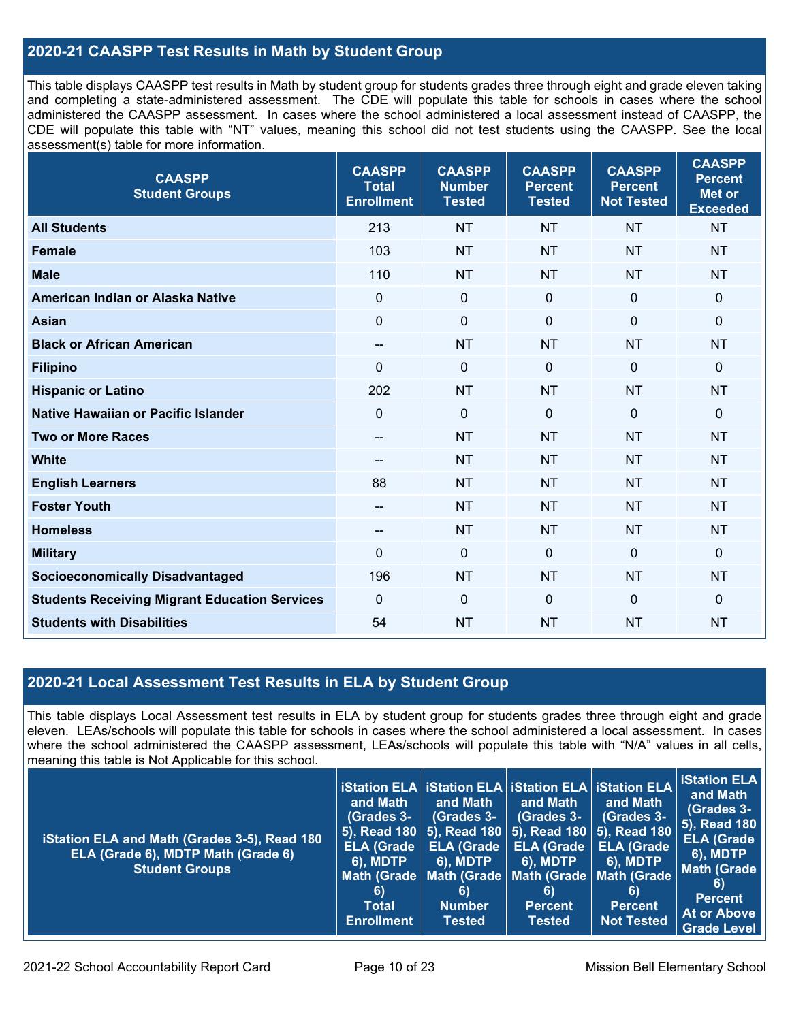## **2020-21 CAASPP Test Results in Math by Student Group**

This table displays CAASPP test results in Math by student group for students grades three through eight and grade eleven taking and completing a state-administered assessment. The CDE will populate this table for schools in cases where the school administered the CAASPP assessment. In cases where the school administered a local assessment instead of CAASPP, the CDE will populate this table with "NT" values, meaning this school did not test students using the CAASPP. See the local assessment(s) table for more information.

| <b>CAASPP</b><br><b>Student Groups</b>               | <b>CAASPP</b><br><b>Total</b><br><b>Enrollment</b> | <b>CAASPP</b><br><b>Number</b><br><b>Tested</b> | <b>CAASPP</b><br><b>Percent</b><br><b>Tested</b> | <b>CAASPP</b><br><b>Percent</b><br><b>Not Tested</b> | <b>CAASPP</b><br><b>Percent</b><br>Met or<br><b>Exceeded</b> |
|------------------------------------------------------|----------------------------------------------------|-------------------------------------------------|--------------------------------------------------|------------------------------------------------------|--------------------------------------------------------------|
| <b>All Students</b>                                  | 213                                                | <b>NT</b>                                       | <b>NT</b>                                        | <b>NT</b>                                            | <b>NT</b>                                                    |
| <b>Female</b>                                        | 103                                                | <b>NT</b>                                       | <b>NT</b>                                        | <b>NT</b>                                            | <b>NT</b>                                                    |
| <b>Male</b>                                          | 110                                                | <b>NT</b>                                       | <b>NT</b>                                        | <b>NT</b>                                            | <b>NT</b>                                                    |
| American Indian or Alaska Native                     | $\mathbf 0$                                        | $\mathbf 0$                                     | $\mathbf 0$                                      | $\mathbf 0$                                          | $\mathbf 0$                                                  |
| <b>Asian</b>                                         | $\mathbf 0$                                        | $\pmb{0}$                                       | $\mathbf 0$                                      | $\mathbf 0$                                          | $\pmb{0}$                                                    |
| <b>Black or African American</b>                     | $\overline{\phantom{a}}$                           | <b>NT</b>                                       | <b>NT</b>                                        | <b>NT</b>                                            | <b>NT</b>                                                    |
| <b>Filipino</b>                                      | $\Omega$                                           | $\mathbf 0$                                     | $\mathbf{0}$                                     | $\mathbf 0$                                          | $\mathbf 0$                                                  |
| <b>Hispanic or Latino</b>                            | 202                                                | <b>NT</b>                                       | <b>NT</b>                                        | <b>NT</b>                                            | <b>NT</b>                                                    |
| Native Hawaiian or Pacific Islander                  | $\mathbf 0$                                        | $\mathbf 0$                                     | $\mathbf 0$                                      | $\mathbf 0$                                          | 0                                                            |
| <b>Two or More Races</b>                             | $\overline{\phantom{a}}$                           | <b>NT</b>                                       | <b>NT</b>                                        | <b>NT</b>                                            | <b>NT</b>                                                    |
| <b>White</b>                                         | --                                                 | <b>NT</b>                                       | <b>NT</b>                                        | <b>NT</b>                                            | <b>NT</b>                                                    |
| <b>English Learners</b>                              | 88                                                 | <b>NT</b>                                       | <b>NT</b>                                        | <b>NT</b>                                            | <b>NT</b>                                                    |
| <b>Foster Youth</b>                                  | $\sim$                                             | <b>NT</b>                                       | <b>NT</b>                                        | <b>NT</b>                                            | <b>NT</b>                                                    |
| <b>Homeless</b>                                      | $\hspace{0.05cm}$ – $\hspace{0.05cm}$              | <b>NT</b>                                       | <b>NT</b>                                        | <b>NT</b>                                            | <b>NT</b>                                                    |
| <b>Military</b>                                      | $\mathbf 0$                                        | $\mathbf 0$                                     | $\mathbf 0$                                      | $\overline{0}$                                       | $\mathbf 0$                                                  |
| <b>Socioeconomically Disadvantaged</b>               | 196                                                | <b>NT</b>                                       | <b>NT</b>                                        | <b>NT</b>                                            | <b>NT</b>                                                    |
| <b>Students Receiving Migrant Education Services</b> | $\mathbf 0$                                        | $\mathbf 0$                                     | $\mathbf{0}$                                     | $\mathbf{0}$                                         | 0                                                            |
| <b>Students with Disabilities</b>                    | 54                                                 | <b>NT</b>                                       | <b>NT</b>                                        | <b>NT</b>                                            | <b>NT</b>                                                    |

## **2020-21 Local Assessment Test Results in ELA by Student Group**

This table displays Local Assessment test results in ELA by student group for students grades three through eight and grade eleven. LEAs/schools will populate this table for schools in cases where the school administered a local assessment. In cases where the school administered the CAASPP assessment, LEAs/schools will populate this table with "N/A" values in all cells, meaning this table is Not Applicable for this school.

| iStation ELA and Math (Grades 3-5), Read 180<br>ELA (Grade 6), MDTP Math (Grade 6)<br><b>Student Groups</b> | ∣ iStation ELA ∣ iStation ELA ∣ iStation ELA ∣ iStation ELA ∣<br>and Math<br>(Grades 3-<br><b>ELA (Grade</b><br><b>6), MDTP</b><br>6)<br><b>Total</b><br><b>Enrollment</b> | and Math<br>(Grades 3-<br><b>ELA (Grade</b><br><b>6), MDTP</b><br>6)<br><b>Number</b><br><b>Tested</b> | and Math<br>(Grades 3-<br><b>ELA (Grade</b><br><b>6), MDTP</b><br>6)<br><b>Percent</b><br><b>Tested</b> | and Math<br><b>(Grades 3-</b><br>  5), Read 180   5), Read 180   5), Read 180   <u>5), Read 180  </u><br><b>ELA (Grade</b><br><b>6), MDTP</b><br>Math (Grade   Math (Grade   Math (Grade   Math (Grade<br>6)<br>Percent<br><b>Not Tested</b> | <b>Station ELA</b><br>and Math<br>(Grades 3-<br><b>5), Read 180</b><br><b>ELA (Grade</b><br><b>6), MDTP</b><br><b>Math (Grade</b><br>6)<br><b>Percent</b><br><b>At or Above</b><br><b>Grade Level</b> |
|-------------------------------------------------------------------------------------------------------------|----------------------------------------------------------------------------------------------------------------------------------------------------------------------------|--------------------------------------------------------------------------------------------------------|---------------------------------------------------------------------------------------------------------|----------------------------------------------------------------------------------------------------------------------------------------------------------------------------------------------------------------------------------------------|-------------------------------------------------------------------------------------------------------------------------------------------------------------------------------------------------------|
|-------------------------------------------------------------------------------------------------------------|----------------------------------------------------------------------------------------------------------------------------------------------------------------------------|--------------------------------------------------------------------------------------------------------|---------------------------------------------------------------------------------------------------------|----------------------------------------------------------------------------------------------------------------------------------------------------------------------------------------------------------------------------------------------|-------------------------------------------------------------------------------------------------------------------------------------------------------------------------------------------------------|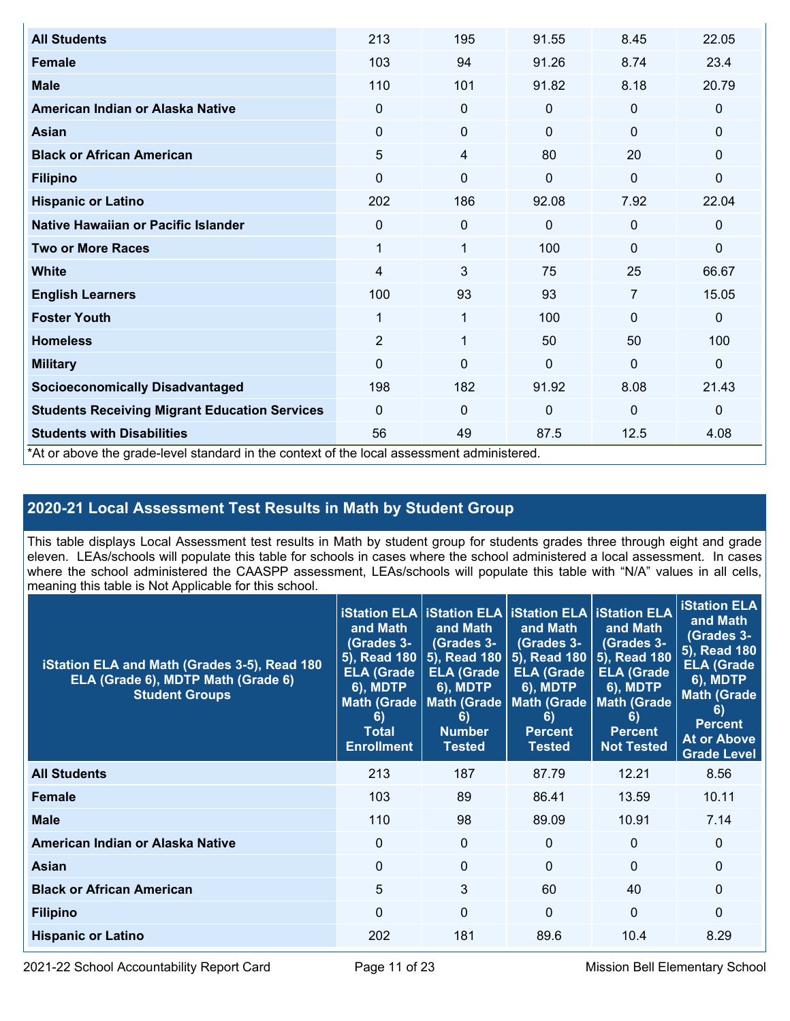| <b>All Students</b>                                                                        | 213            | 195         | 91.55    | 8.45         | 22.05        |
|--------------------------------------------------------------------------------------------|----------------|-------------|----------|--------------|--------------|
| <b>Female</b>                                                                              | 103            | 94          | 91.26    | 8.74         | 23.4         |
| <b>Male</b>                                                                                | 110            | 101         | 91.82    | 8.18         | 20.79        |
| American Indian or Alaska Native                                                           | $\Omega$       | $\mathbf 0$ | 0        | $\mathbf 0$  | $\mathbf 0$  |
| <b>Asian</b>                                                                               | $\Omega$       | $\mathbf 0$ | $\Omega$ | $\mathbf{0}$ | $\mathbf{0}$ |
| <b>Black or African American</b>                                                           | 5              | 4           | 80       | 20           | $\mathbf{0}$ |
| <b>Filipino</b>                                                                            | $\Omega$       | $\Omega$    | $\Omega$ | $\mathbf{0}$ | $\Omega$     |
| <b>Hispanic or Latino</b>                                                                  | 202            | 186         | 92.08    | 7.92         | 22.04        |
| Native Hawaiian or Pacific Islander                                                        | $\Omega$       | $\mathbf 0$ | $\Omega$ | $\mathbf{0}$ | $\mathbf{0}$ |
| <b>Two or More Races</b>                                                                   | 1              | 1           | 100      | $\Omega$     | $\mathbf{0}$ |
| <b>White</b>                                                                               | 4              | 3           | 75       | 25           | 66.67        |
| <b>English Learners</b>                                                                    | 100            | 93          | 93       | 7            | 15.05        |
| <b>Foster Youth</b>                                                                        | 1              | 1           | 100      | $\Omega$     | $\mathbf{0}$ |
| <b>Homeless</b>                                                                            | $\overline{2}$ | 1           | 50       | 50           | 100          |
| <b>Military</b>                                                                            | $\Omega$       | $\Omega$    | $\Omega$ | $\mathbf{0}$ | $\mathbf{0}$ |
| <b>Socioeconomically Disadvantaged</b>                                                     | 198            | 182         | 91.92    | 8.08         | 21.43        |
| <b>Students Receiving Migrant Education Services</b>                                       | $\Omega$       | 0           | $\Omega$ | $\Omega$     | $\mathbf{0}$ |
| <b>Students with Disabilities</b>                                                          | 56             | 49          | 87.5     | 12.5         | 4.08         |
| *At or above the grade-level standard in the context of the local assessment administered. |                |             |          |              |              |

## **2020-21 Local Assessment Test Results in Math by Student Group**

This table displays Local Assessment test results in Math by student group for students grades three through eight and grade eleven. LEAs/schools will populate this table for schools in cases where the school administered a local assessment. In cases where the school administered the CAASPP assessment, LEAs/schools will populate this table with "N/A" values in all cells, meaning this table is Not Applicable for this school.

| iStation ELA and Math (Grades 3-5), Read 180<br>ELA (Grade 6), MDTP Math (Grade 6)<br><b>Student Groups</b> | and Math<br><b>(Grades 3-</b><br>5), Read 180<br><b>ELA (Grade</b><br>$\overline{6}$ ), MDTP<br>6)<br><b>Total</b><br><b>Enrollment</b> | <b>iStation ELA   iStation ELA   iStation ELA   iStation ELA  </b><br>and Math<br>(Grades 3-<br>5), Read 180<br><b>ELA (Grade</b><br><b>6), MDTP</b><br>Math (Grade   Math (Grade<br>6)<br><b>Number</b><br><b>Tested</b> | and Math<br>(Grades 3-<br>5), Read 180<br><b>ELA (Grade</b><br><b>6), MDTP</b><br>6)<br><b>Percent</b><br><b>Tested</b> | and Math<br>(Grades 3-<br>5), Read 180<br><b>ELA (Grade</b><br><b>6), MDTP</b><br>Math (Grade   Math (Grade  <br>6)<br><b>Percent</b><br><b>Not Tested</b> | <b>iStation ELA</b><br>and Math<br>(Grades 3-<br>5), Read 180<br><b>ELA (Grade</b><br><b>6), MDTP</b><br><b>Math (Grade</b><br>6)<br><b>Percent</b><br><b>At or Above</b><br><b>Grade Level</b> |
|-------------------------------------------------------------------------------------------------------------|-----------------------------------------------------------------------------------------------------------------------------------------|---------------------------------------------------------------------------------------------------------------------------------------------------------------------------------------------------------------------------|-------------------------------------------------------------------------------------------------------------------------|------------------------------------------------------------------------------------------------------------------------------------------------------------|-------------------------------------------------------------------------------------------------------------------------------------------------------------------------------------------------|
| <b>All Students</b>                                                                                         | 213                                                                                                                                     | 187                                                                                                                                                                                                                       | 87.79                                                                                                                   | 12.21                                                                                                                                                      | 8.56                                                                                                                                                                                            |
| Female                                                                                                      | 103                                                                                                                                     | 89                                                                                                                                                                                                                        | 86.41                                                                                                                   | 13.59                                                                                                                                                      | 10.11                                                                                                                                                                                           |
| <b>Male</b>                                                                                                 | 110                                                                                                                                     | 98                                                                                                                                                                                                                        | 89.09                                                                                                                   | 10.91                                                                                                                                                      | 7.14                                                                                                                                                                                            |
| American Indian or Alaska Native                                                                            | 0                                                                                                                                       | $\mathbf 0$                                                                                                                                                                                                               | $\Omega$                                                                                                                | $\mathbf{0}$                                                                                                                                               | $\mathbf 0$                                                                                                                                                                                     |
| <b>Asian</b>                                                                                                | $\Omega$                                                                                                                                | $\Omega$                                                                                                                                                                                                                  | $\Omega$                                                                                                                | $\Omega$                                                                                                                                                   | $\Omega$                                                                                                                                                                                        |
| <b>Black or African American</b>                                                                            | 5                                                                                                                                       | 3                                                                                                                                                                                                                         | 60                                                                                                                      | 40                                                                                                                                                         | $\Omega$                                                                                                                                                                                        |
| <b>Filipino</b>                                                                                             | $\Omega$                                                                                                                                | $\Omega$                                                                                                                                                                                                                  | $\Omega$                                                                                                                | $\Omega$                                                                                                                                                   | $\Omega$                                                                                                                                                                                        |
| <b>Hispanic or Latino</b>                                                                                   | 202                                                                                                                                     | 181                                                                                                                                                                                                                       | 89.6                                                                                                                    | 10.4                                                                                                                                                       | 8.29                                                                                                                                                                                            |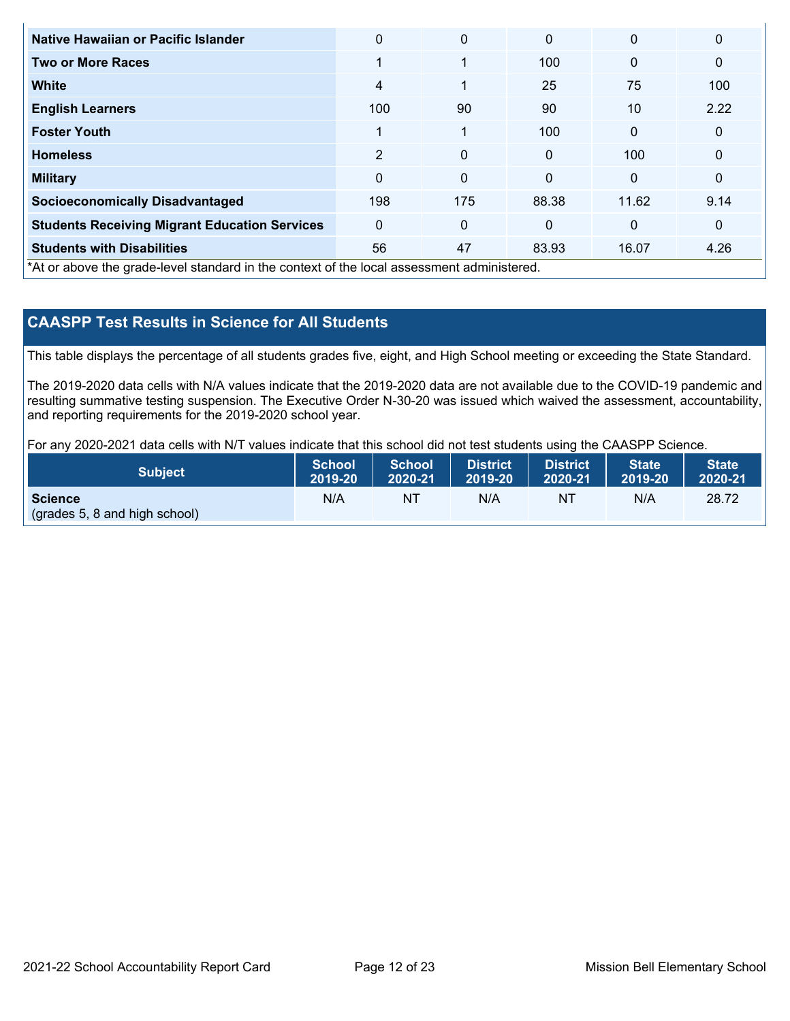| Native Hawaiian or Pacific Islander                                                        | $\Omega$       | 0            | $\mathbf{0}$ | $\mathbf{0}$ | $\mathbf{0}$ |
|--------------------------------------------------------------------------------------------|----------------|--------------|--------------|--------------|--------------|
| <b>Two or More Races</b>                                                                   | 1              | 1            | 100          | $\mathbf{0}$ | $\mathbf 0$  |
| White                                                                                      | $\overline{4}$ | $\mathbf{1}$ | 25           | 75           | 100          |
| <b>English Learners</b>                                                                    | 100            | 90           | 90           | 10           | 2.22         |
| <b>Foster Youth</b>                                                                        | 1              | $\mathbf{1}$ | 100          | $\mathbf{0}$ | $\mathbf 0$  |
| <b>Homeless</b>                                                                            | 2              | 0            | $\mathbf{0}$ | 100          | $\mathbf 0$  |
| <b>Military</b>                                                                            | $\mathbf{0}$   | 0            | $\mathbf{0}$ | $\mathbf{0}$ | $\mathbf 0$  |
| <b>Socioeconomically Disadvantaged</b>                                                     | 198            | 175          | 88.38        | 11.62        | 9.14         |
| <b>Students Receiving Migrant Education Services</b>                                       | $\mathbf{0}$   | $\mathbf{0}$ | $\mathbf{0}$ | $\mathbf{0}$ | $\mathbf 0$  |
| <b>Students with Disabilities</b>                                                          | 56             | 47           | 83.93        | 16.07        | 4.26         |
| *At or above the grade-level standard in the context of the local assessment administered. |                |              |              |              |              |

## **CAASPP Test Results in Science for All Students**

This table displays the percentage of all students grades five, eight, and High School meeting or exceeding the State Standard.

The 2019-2020 data cells with N/A values indicate that the 2019-2020 data are not available due to the COVID-19 pandemic and resulting summative testing suspension. The Executive Order N-30-20 was issued which waived the assessment, accountability, and reporting requirements for the 2019-2020 school year.

For any 2020-2021 data cells with N/T values indicate that this school did not test students using the CAASPP Science.

| <b>Subject</b>                                  | School A | School  | <b>District</b> | <b>District</b> | <b>State</b> | <b>State</b> |
|-------------------------------------------------|----------|---------|-----------------|-----------------|--------------|--------------|
|                                                 | 2019-20  | 2020-21 | N 2019-20       | 2020-21         | 2019-20      | 2020-21      |
| <b>Science</b><br>(grades 5, 8 and high school) | N/A      | NT      | N/A             | NT              | N/A          | 28.72        |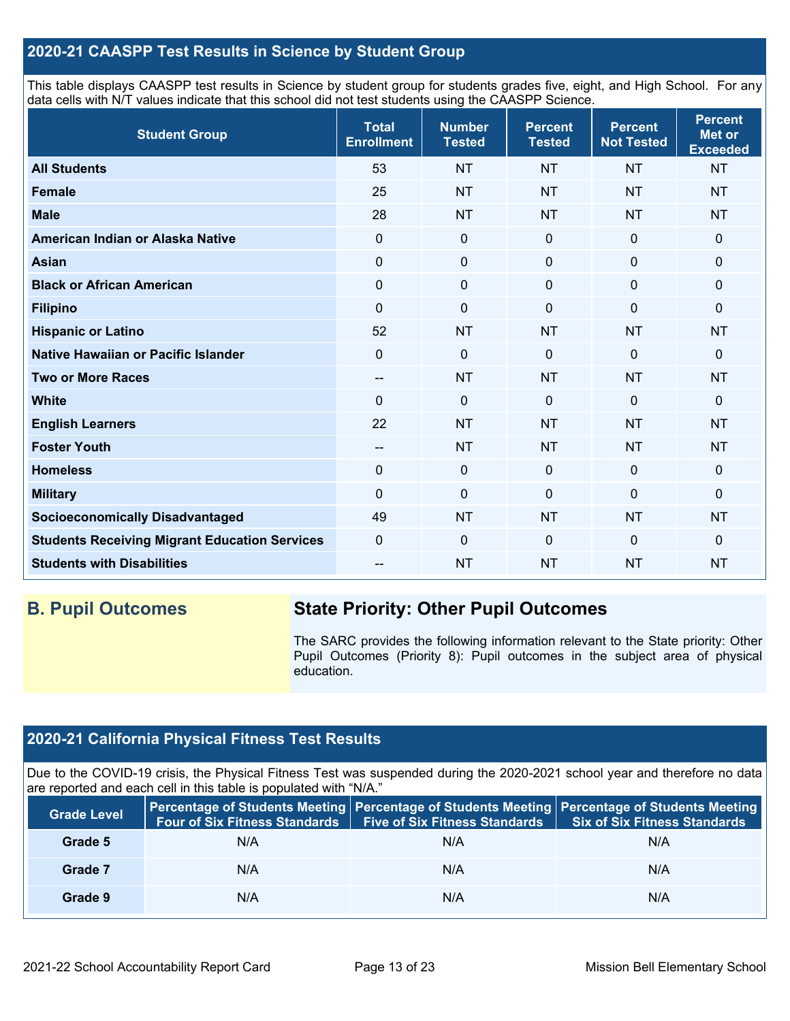## **2020-21 CAASPP Test Results in Science by Student Group**

This table displays CAASPP test results in Science by student group for students grades five, eight, and High School. For any data cells with N/T values indicate that this school did not test students using the CAASPP Science.

| <b>Student Group</b>                                 | <b>Total</b><br><b>Enrollment</b> | <b>Number</b><br><b>Tested</b> | <b>Percent</b><br><b>Tested</b> | <b>Percent</b><br><b>Not Tested</b> | <b>Percent</b><br><b>Met or</b><br><b>Exceeded</b> |
|------------------------------------------------------|-----------------------------------|--------------------------------|---------------------------------|-------------------------------------|----------------------------------------------------|
| <b>All Students</b>                                  | 53                                | <b>NT</b>                      | <b>NT</b>                       | <b>NT</b>                           | <b>NT</b>                                          |
| <b>Female</b>                                        | 25                                | <b>NT</b>                      | <b>NT</b>                       | <b>NT</b>                           | <b>NT</b>                                          |
| <b>Male</b>                                          | 28                                | <b>NT</b>                      | <b>NT</b>                       | <b>NT</b>                           | <b>NT</b>                                          |
| American Indian or Alaska Native                     | 0                                 | $\mathbf 0$                    | $\mathbf 0$                     | $\mathbf 0$                         | $\mathbf 0$                                        |
| <b>Asian</b>                                         | 0                                 | $\pmb{0}$                      | $\mathbf 0$                     | $\mathbf 0$                         | 0                                                  |
| <b>Black or African American</b>                     | 0                                 | $\pmb{0}$                      | $\pmb{0}$                       | 0                                   | 0                                                  |
| <b>Filipino</b>                                      | 0                                 | $\mathbf 0$                    | $\Omega$                        | $\mathbf 0$                         | $\Omega$                                           |
| <b>Hispanic or Latino</b>                            | 52                                | <b>NT</b>                      | <b>NT</b>                       | <b>NT</b>                           | <b>NT</b>                                          |
| Native Hawaiian or Pacific Islander                  | 0                                 | $\mathbf 0$                    | $\Omega$                        | $\mathbf 0$                         | 0                                                  |
| <b>Two or More Races</b>                             | --                                | <b>NT</b>                      | <b>NT</b>                       | <b>NT</b>                           | <b>NT</b>                                          |
| <b>White</b>                                         | $\Omega$                          | $\mathbf 0$                    | $\mathbf 0$                     | $\mathbf 0$                         | $\mathbf 0$                                        |
| <b>English Learners</b>                              | 22                                | <b>NT</b>                      | <b>NT</b>                       | <b>NT</b>                           | <b>NT</b>                                          |
| <b>Foster Youth</b>                                  | --                                | <b>NT</b>                      | <b>NT</b>                       | <b>NT</b>                           | <b>NT</b>                                          |
| <b>Homeless</b>                                      | 0                                 | $\pmb{0}$                      | $\mathbf 0$                     | $\mathbf 0$                         | 0                                                  |
| <b>Military</b>                                      | 0                                 | $\mathbf 0$                    | $\mathbf 0$                     | $\mathbf 0$                         | 0                                                  |
| <b>Socioeconomically Disadvantaged</b>               | 49                                | <b>NT</b>                      | <b>NT</b>                       | <b>NT</b>                           | <b>NT</b>                                          |
| <b>Students Receiving Migrant Education Services</b> | 0                                 | $\mathbf 0$                    | $\Omega$                        | $\mathbf 0$                         | 0                                                  |
| <b>Students with Disabilities</b>                    | --                                | <b>NT</b>                      | <b>NT</b>                       | <b>NT</b>                           | <b>NT</b>                                          |

## **B. Pupil Outcomes State Priority: Other Pupil Outcomes**

The SARC provides the following information relevant to the State priority: Other Pupil Outcomes (Priority 8): Pupil outcomes in the subject area of physical education.

## **2020-21 California Physical Fitness Test Results**

Due to the COVID-19 crisis, the Physical Fitness Test was suspended during the 2020-2021 school year and therefore no data are reported and each cell in this table is populated with "N/A."

| <b>Grade Level</b> | <b>Four of Six Fitness Standards</b> | <b>Five of Six Fitness Standards</b> | Percentage of Students Meeting   Percentage of Students Meeting   Percentage of Students Meeting<br><b>Six of Six Fitness Standards</b> |
|--------------------|--------------------------------------|--------------------------------------|-----------------------------------------------------------------------------------------------------------------------------------------|
| Grade 5            | N/A                                  | N/A                                  | N/A                                                                                                                                     |
| Grade 7            | N/A                                  | N/A                                  | N/A                                                                                                                                     |
| Grade 9            | N/A                                  | N/A                                  | N/A                                                                                                                                     |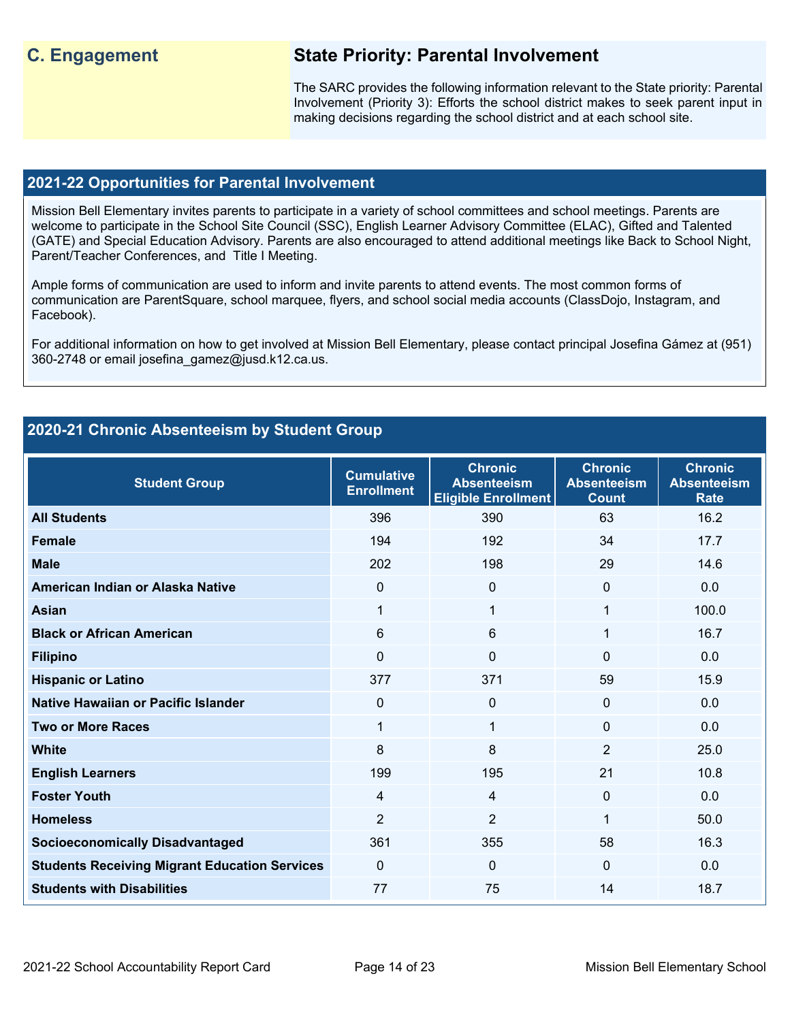## **C. Engagement State Priority: Parental Involvement**

The SARC provides the following information relevant to the State priority: Parental Involvement (Priority 3): Efforts the school district makes to seek parent input in making decisions regarding the school district and at each school site.

#### **2021-22 Opportunities for Parental Involvement**

Mission Bell Elementary invites parents to participate in a variety of school committees and school meetings. Parents are welcome to participate in the School Site Council (SSC), English Learner Advisory Committee (ELAC), Gifted and Talented (GATE) and Special Education Advisory. Parents are also encouraged to attend additional meetings like Back to School Night, Parent/Teacher Conferences, and Title I Meeting.

Ample forms of communication are used to inform and invite parents to attend events. The most common forms of communication are ParentSquare, school marquee, flyers, and school social media accounts (ClassDojo, Instagram, and Facebook).

For additional information on how to get involved at Mission Bell Elementary, please contact principal Josefina Gámez at (951) 360-2748 or email josefina\_gamez@jusd.k12.ca.us.

## **2020-21 Chronic Absenteeism by Student Group**

| <b>Student Group</b>                                 | <b>Cumulative</b><br><b>Enrollment</b> | <b>Chronic</b><br><b>Absenteeism</b><br><b>Eligible Enrollment</b> | <b>Chronic</b><br><b>Absenteeism</b><br><b>Count</b> | <b>Chronic</b><br><b>Absenteeism</b><br><b>Rate</b> |
|------------------------------------------------------|----------------------------------------|--------------------------------------------------------------------|------------------------------------------------------|-----------------------------------------------------|
| <b>All Students</b>                                  | 396                                    | 390                                                                | 63                                                   | 16.2                                                |
| <b>Female</b>                                        | 194                                    | 192                                                                | 34                                                   | 17.7                                                |
| <b>Male</b>                                          | 202                                    | 198                                                                | 29                                                   | 14.6                                                |
| American Indian or Alaska Native                     | $\Omega$                               | $\mathbf{0}$                                                       | $\Omega$                                             | 0.0                                                 |
| <b>Asian</b>                                         | 1                                      | 1                                                                  | 1                                                    | 100.0                                               |
| <b>Black or African American</b>                     | 6                                      | 6                                                                  | 1                                                    | 16.7                                                |
| <b>Filipino</b>                                      | $\Omega$                               | 0                                                                  | $\Omega$                                             | 0.0                                                 |
| <b>Hispanic or Latino</b>                            | 377                                    | 371                                                                | 59                                                   | 15.9                                                |
| Native Hawaiian or Pacific Islander                  | $\Omega$                               | 0                                                                  | $\mathbf{0}$                                         | 0.0                                                 |
| <b>Two or More Races</b>                             | 1                                      | 1                                                                  | $\Omega$                                             | 0.0                                                 |
| <b>White</b>                                         | 8                                      | 8                                                                  | $\overline{2}$                                       | 25.0                                                |
| <b>English Learners</b>                              | 199                                    | 195                                                                | 21                                                   | 10.8                                                |
| <b>Foster Youth</b>                                  | $\overline{4}$                         | 4                                                                  | $\Omega$                                             | 0.0                                                 |
| <b>Homeless</b>                                      | $\overline{2}$                         | $\overline{2}$                                                     | 1                                                    | 50.0                                                |
| <b>Socioeconomically Disadvantaged</b>               | 361                                    | 355                                                                | 58                                                   | 16.3                                                |
| <b>Students Receiving Migrant Education Services</b> | $\Omega$                               | 0                                                                  | $\Omega$                                             | 0.0                                                 |
| <b>Students with Disabilities</b>                    | 77                                     | 75                                                                 | 14                                                   | 18.7                                                |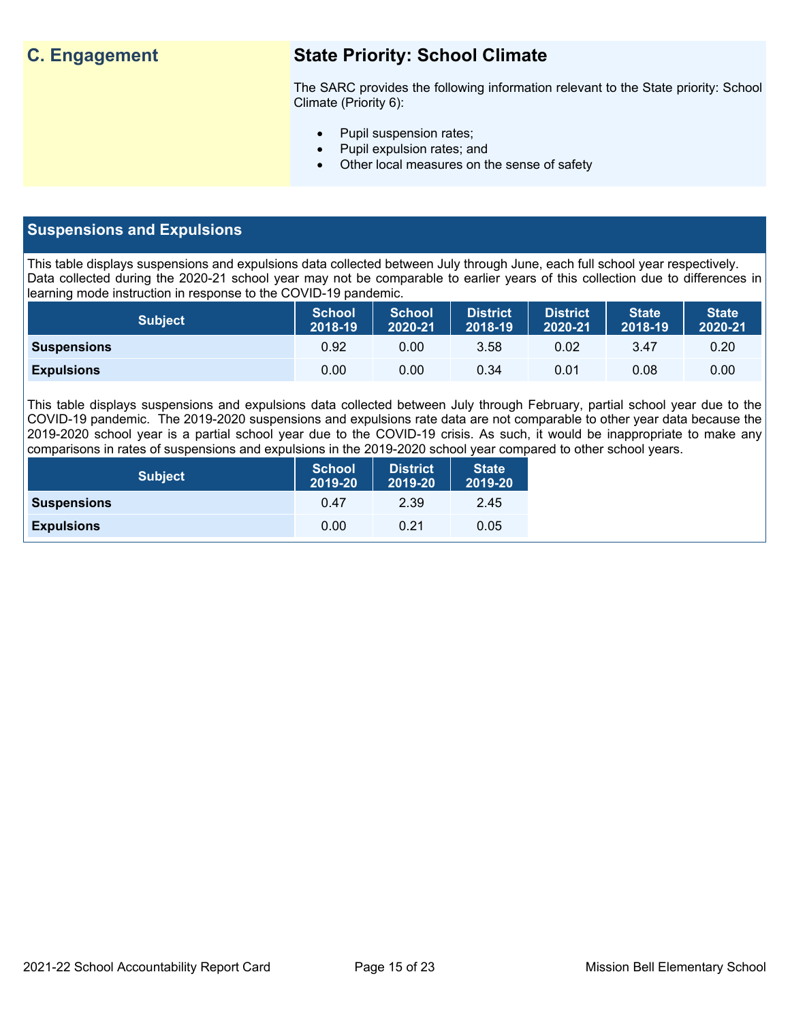## **C. Engagement State Priority: School Climate**

The SARC provides the following information relevant to the State priority: School Climate (Priority 6):

- Pupil suspension rates;
- Pupil expulsion rates; and
- Other local measures on the sense of safety

## **Suspensions and Expulsions**

This table displays suspensions and expulsions data collected between July through June, each full school year respectively. Data collected during the 2020-21 school year may not be comparable to earlier years of this collection due to differences in learning mode instruction in response to the COVID-19 pandemic.

| <b>Subject</b>     | <b>School</b><br>2018-19 | <b>School</b><br>2020-21 | <b>District</b><br>2018-19 | <b>District</b><br>2020-21 | <b>State</b><br>2018-19 | <b>State</b><br>2020-21 |
|--------------------|--------------------------|--------------------------|----------------------------|----------------------------|-------------------------|-------------------------|
| <b>Suspensions</b> | 0.92                     | 0.00                     | 3.58                       | 0.02                       | 3.47                    | 0.20                    |
| <b>Expulsions</b>  | 0.00                     | 0.00                     | 0.34                       | 0.01                       | 0.08                    | 0.00                    |

This table displays suspensions and expulsions data collected between July through February, partial school year due to the COVID-19 pandemic. The 2019-2020 suspensions and expulsions rate data are not comparable to other year data because the 2019-2020 school year is a partial school year due to the COVID-19 crisis. As such, it would be inappropriate to make any comparisons in rates of suspensions and expulsions in the 2019-2020 school year compared to other school years.

| <b>Subject</b>     | <b>School</b><br>2019-20 | <b>District</b><br>2019-20 | <b>State</b><br>2019-20 |
|--------------------|--------------------------|----------------------------|-------------------------|
| <b>Suspensions</b> | 0.47                     | 2.39                       | 2.45                    |
| <b>Expulsions</b>  | 0.00                     | 0.21                       | 0.05                    |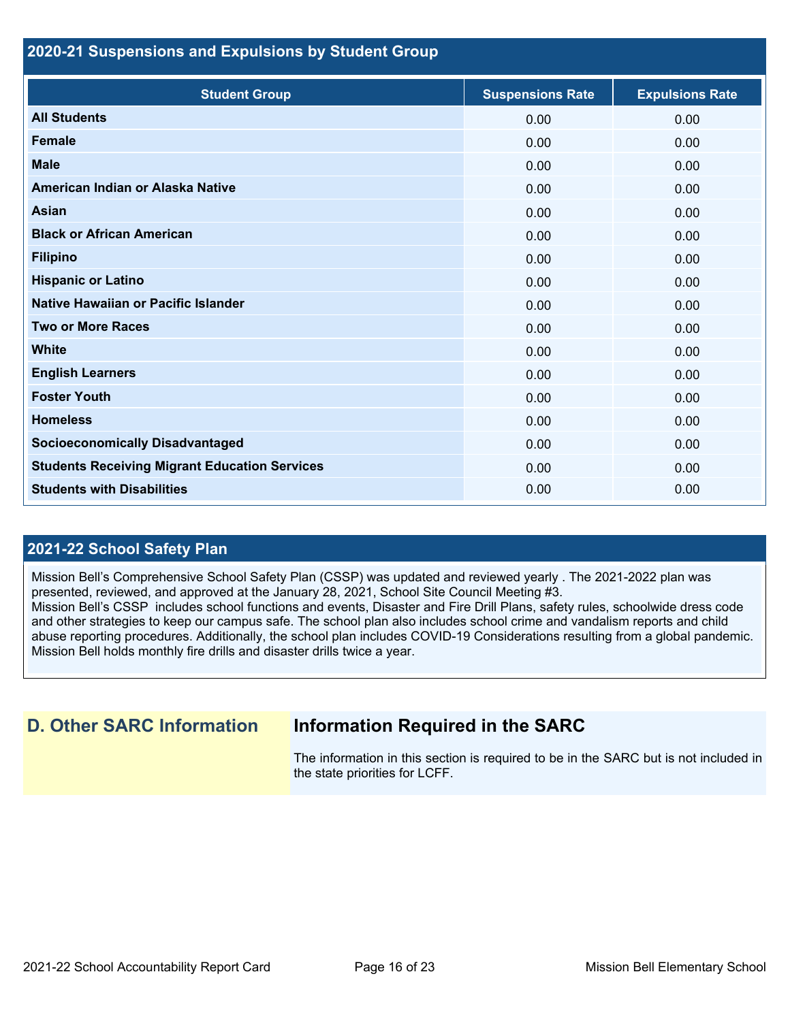## **2020-21 Suspensions and Expulsions by Student Group**

| <b>Student Group</b>                                 | <b>Suspensions Rate</b> | <b>Expulsions Rate</b> |
|------------------------------------------------------|-------------------------|------------------------|
| <b>All Students</b>                                  | 0.00                    | 0.00                   |
| <b>Female</b>                                        | 0.00                    | 0.00                   |
| <b>Male</b>                                          | 0.00                    | 0.00                   |
| American Indian or Alaska Native                     | 0.00                    | 0.00                   |
| <b>Asian</b>                                         | 0.00                    | 0.00                   |
| <b>Black or African American</b>                     | 0.00                    | 0.00                   |
| <b>Filipino</b>                                      | 0.00                    | 0.00                   |
| <b>Hispanic or Latino</b>                            | 0.00                    | 0.00                   |
| Native Hawaiian or Pacific Islander                  | 0.00                    | 0.00                   |
| <b>Two or More Races</b>                             | 0.00                    | 0.00                   |
| <b>White</b>                                         | 0.00                    | 0.00                   |
| <b>English Learners</b>                              | 0.00                    | 0.00                   |
| <b>Foster Youth</b>                                  | 0.00                    | 0.00                   |
| <b>Homeless</b>                                      | 0.00                    | 0.00                   |
| <b>Socioeconomically Disadvantaged</b>               | 0.00                    | 0.00                   |
| <b>Students Receiving Migrant Education Services</b> | 0.00                    | 0.00                   |
| <b>Students with Disabilities</b>                    | 0.00                    | 0.00                   |

## **2021-22 School Safety Plan**

Mission Bell's Comprehensive School Safety Plan (CSSP) was updated and reviewed yearly . The 2021-2022 plan was presented, reviewed, and approved at the January 28, 2021, School Site Council Meeting #3. Mission Bell's CSSP includes school functions and events, Disaster and Fire Drill Plans, safety rules, schoolwide dress code and other strategies to keep our campus safe. The school plan also includes school crime and vandalism reports and child abuse reporting procedures. Additionally, the school plan includes COVID-19 Considerations resulting from a global pandemic. Mission Bell holds monthly fire drills and disaster drills twice a year.

## **D. Other SARC Information Information Required in the SARC**

The information in this section is required to be in the SARC but is not included in the state priorities for LCFF.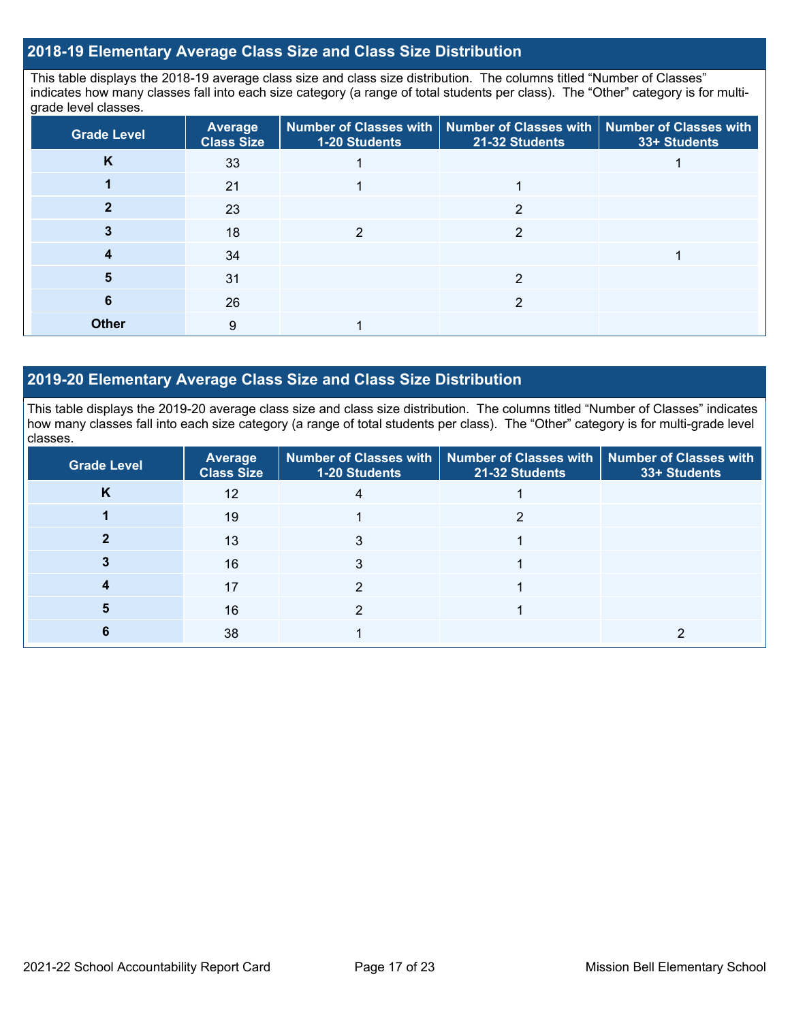## **2018-19 Elementary Average Class Size and Class Size Distribution**

This table displays the 2018-19 average class size and class size distribution. The columns titled "Number of Classes" indicates how many classes fall into each size category (a range of total students per class). The "Other" category is for multigrade level classes.

| <b>Grade Level</b> | <b>Average</b><br><b>Class Size</b> | 1-20 Students | Number of Classes with   Number of Classes with   Number of Classes with<br>21-32 Students | 33+ Students |
|--------------------|-------------------------------------|---------------|--------------------------------------------------------------------------------------------|--------------|
| K                  | 33                                  |               |                                                                                            |              |
|                    | 21                                  |               |                                                                                            |              |
|                    | 23                                  |               | 2                                                                                          |              |
|                    | 18                                  |               |                                                                                            |              |
|                    | 34                                  |               |                                                                                            |              |
|                    | 31                                  |               |                                                                                            |              |
| 6                  | 26                                  |               |                                                                                            |              |
| <b>Other</b>       | 9                                   |               |                                                                                            |              |

## **2019-20 Elementary Average Class Size and Class Size Distribution**

This table displays the 2019-20 average class size and class size distribution. The columns titled "Number of Classes" indicates how many classes fall into each size category (a range of total students per class). The "Other" category is for multi-grade level classes.

| <b>Grade Level</b> | <b>Average</b><br><b>Class Size</b> | 1-20 Students | Number of Classes with   Number of Classes with  <br>21-32 Students | <b>Number of Classes with</b><br>33+ Students |
|--------------------|-------------------------------------|---------------|---------------------------------------------------------------------|-----------------------------------------------|
| N                  | 12                                  |               |                                                                     |                                               |
|                    | 19                                  |               |                                                                     |                                               |
|                    | 13                                  |               |                                                                     |                                               |
|                    | 16                                  |               |                                                                     |                                               |
|                    | 17                                  |               |                                                                     |                                               |
|                    | 16                                  |               |                                                                     |                                               |
|                    | 38                                  |               |                                                                     |                                               |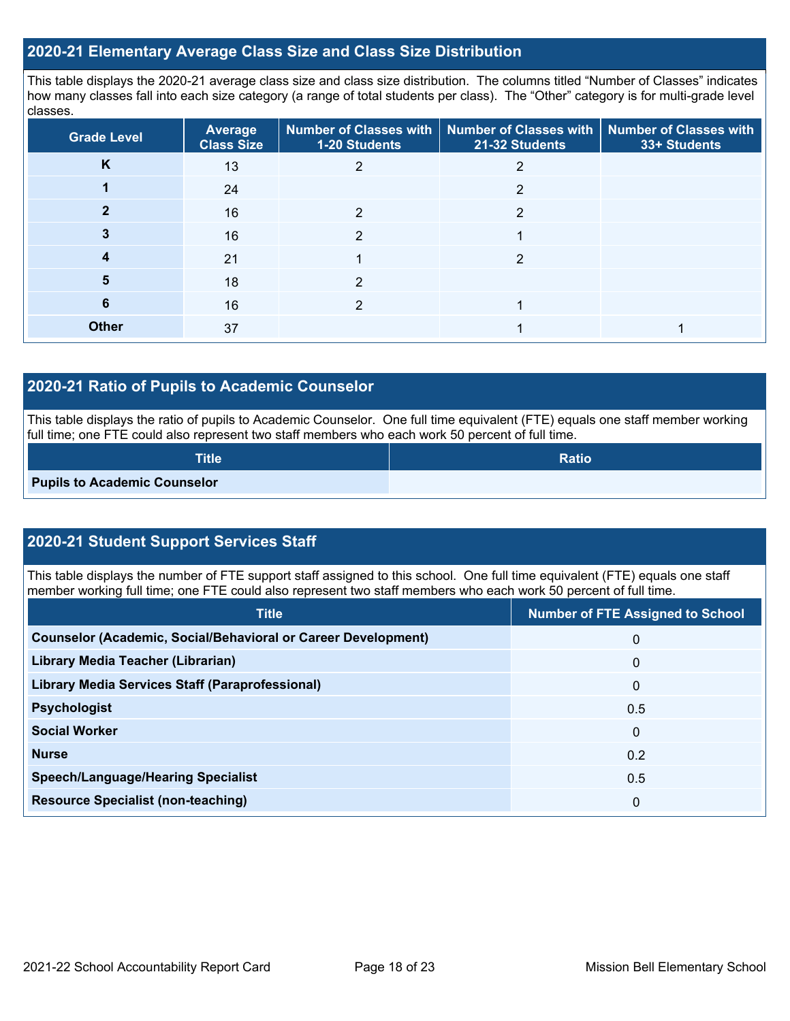### **2020-21 Elementary Average Class Size and Class Size Distribution**

This table displays the 2020-21 average class size and class size distribution. The columns titled "Number of Classes" indicates how many classes fall into each size category (a range of total students per class). The "Other" category is for multi-grade level classes.

| <b>Grade Level</b> | <b>Average</b><br><b>Class Size</b> | 1-20 Students | Number of Classes with   Number of Classes with   Number of Classes with<br>21-32 Students | 33+ Students |
|--------------------|-------------------------------------|---------------|--------------------------------------------------------------------------------------------|--------------|
| n.                 | 13                                  |               |                                                                                            |              |
|                    | 24                                  |               | 2                                                                                          |              |
|                    | 16                                  | 2             | 2                                                                                          |              |
|                    | 16                                  | 2             |                                                                                            |              |
| 4                  | 21                                  |               | 2                                                                                          |              |
| 5                  | 18                                  | າ             |                                                                                            |              |
| 6                  | 16                                  | $\mathcal{P}$ |                                                                                            |              |
| <b>Other</b>       | 37                                  |               |                                                                                            |              |

## **2020-21 Ratio of Pupils to Academic Counselor**

This table displays the ratio of pupils to Academic Counselor. One full time equivalent (FTE) equals one staff member working full time; one FTE could also represent two staff members who each work 50 percent of full time.

| <b>Title</b>                        | <b>Ratio</b> |
|-------------------------------------|--------------|
| <b>Pupils to Academic Counselor</b> |              |

## **2020-21 Student Support Services Staff**

This table displays the number of FTE support staff assigned to this school. One full time equivalent (FTE) equals one staff member working full time; one FTE could also represent two staff members who each work 50 percent of full time.

| <b>Title</b>                                                         | <b>Number of FTE Assigned to School</b> |
|----------------------------------------------------------------------|-----------------------------------------|
| <b>Counselor (Academic, Social/Behavioral or Career Development)</b> | 0                                       |
| Library Media Teacher (Librarian)                                    | $\Omega$                                |
| <b>Library Media Services Staff (Paraprofessional)</b>               | $\Omega$                                |
| <b>Psychologist</b>                                                  | 0.5                                     |
| <b>Social Worker</b>                                                 | $\Omega$                                |
| <b>Nurse</b>                                                         | 0.2                                     |
| <b>Speech/Language/Hearing Specialist</b>                            | 0.5                                     |
| <b>Resource Specialist (non-teaching)</b>                            | 0                                       |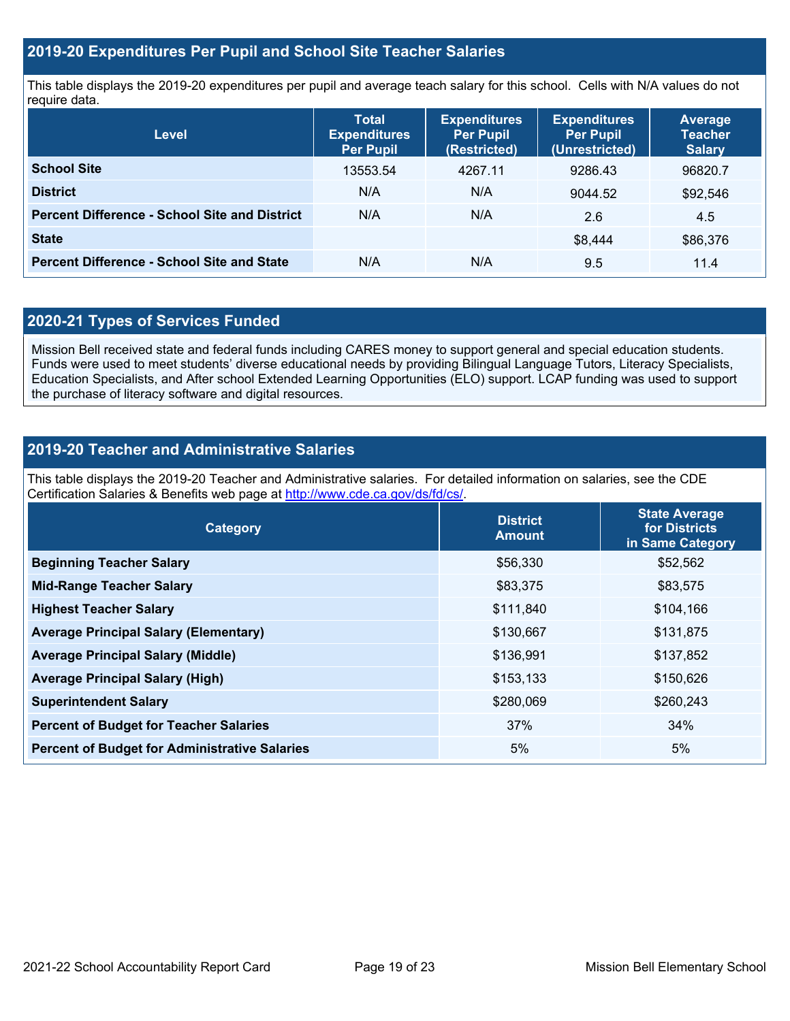## **2019-20 Expenditures Per Pupil and School Site Teacher Salaries**

This table displays the 2019-20 expenditures per pupil and average teach salary for this school. Cells with N/A values do not require data.

| <b>Level</b>                                         | <b>Total</b><br><b>Expenditures</b><br><b>Per Pupil</b> | <b>Expenditures</b><br><b>Per Pupil</b><br>(Restricted) | <b>Expenditures</b><br><b>Per Pupil</b><br>(Unrestricted) | <b>Average</b><br><b>Teacher</b><br><b>Salary</b> |
|------------------------------------------------------|---------------------------------------------------------|---------------------------------------------------------|-----------------------------------------------------------|---------------------------------------------------|
| <b>School Site</b>                                   | 13553.54                                                | 4267.11                                                 | 9286.43                                                   | 96820.7                                           |
| <b>District</b>                                      | N/A                                                     | N/A                                                     | 9044.52                                                   | \$92,546                                          |
| <b>Percent Difference - School Site and District</b> | N/A                                                     | N/A                                                     | 2.6                                                       | 4.5                                               |
| <b>State</b>                                         |                                                         |                                                         | \$8.444                                                   | \$86,376                                          |
| <b>Percent Difference - School Site and State</b>    | N/A                                                     | N/A                                                     | 9.5                                                       | 11.4                                              |

## **2020-21 Types of Services Funded**

Mission Bell received state and federal funds including CARES money to support general and special education students. Funds were used to meet students' diverse educational needs by providing Bilingual Language Tutors, Literacy Specialists, Education Specialists, and After school Extended Learning Opportunities (ELO) support. LCAP funding was used to support the purchase of literacy software and digital resources.

## **2019-20 Teacher and Administrative Salaries**

This table displays the 2019-20 Teacher and Administrative salaries. For detailed information on salaries, see the CDE Certification Salaries & Benefits web page at [http://www.cde.ca.gov/ds/fd/cs/.](http://www.cde.ca.gov/ds/fd/cs/)

| Category                                             | <b>District</b><br><b>Amount</b> | <b>State Average</b><br>for Districts<br>in Same Category |
|------------------------------------------------------|----------------------------------|-----------------------------------------------------------|
| <b>Beginning Teacher Salary</b>                      | \$56,330                         | \$52,562                                                  |
| <b>Mid-Range Teacher Salary</b>                      | \$83,375                         | \$83,575                                                  |
| <b>Highest Teacher Salary</b>                        | \$111,840                        | \$104,166                                                 |
| <b>Average Principal Salary (Elementary)</b>         | \$130,667                        | \$131,875                                                 |
| <b>Average Principal Salary (Middle)</b>             | \$136,991                        | \$137,852                                                 |
| <b>Average Principal Salary (High)</b>               | \$153,133                        | \$150,626                                                 |
| <b>Superintendent Salary</b>                         | \$280,069                        | \$260,243                                                 |
| <b>Percent of Budget for Teacher Salaries</b>        | 37%                              | 34%                                                       |
| <b>Percent of Budget for Administrative Salaries</b> | 5%                               | 5%                                                        |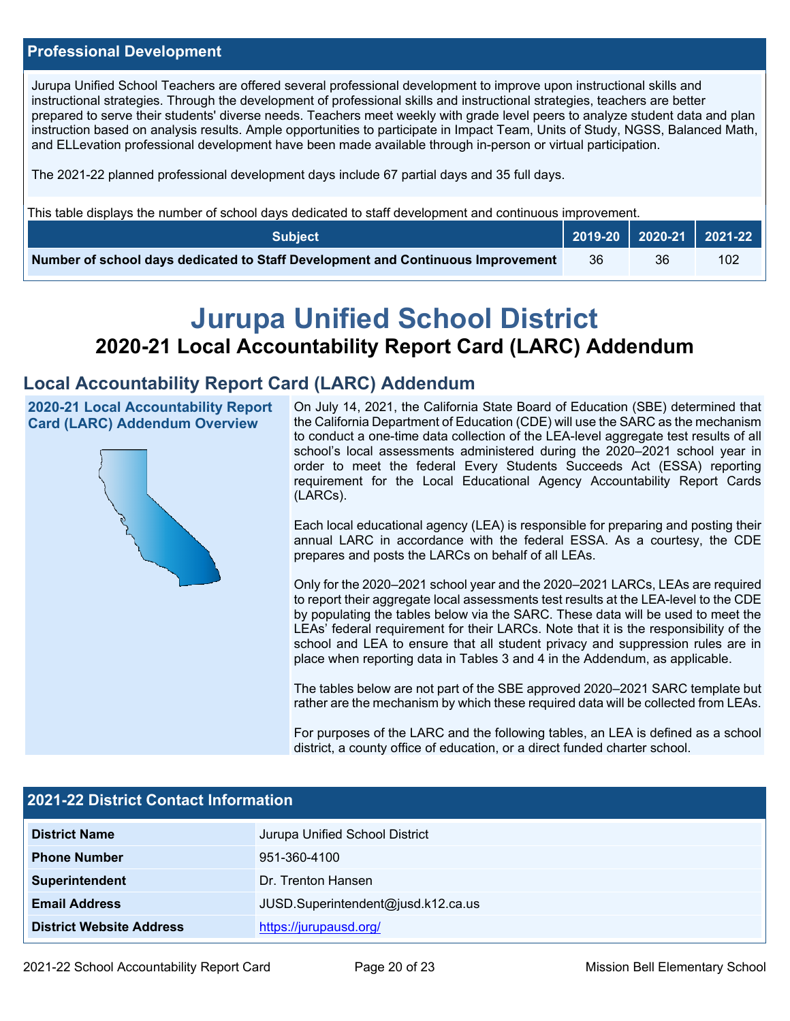### **Professional Development**

Jurupa Unified School Teachers are offered several professional development to improve upon instructional skills and instructional strategies. Through the development of professional skills and instructional strategies, teachers are better prepared to serve their students' diverse needs. Teachers meet weekly with grade level peers to analyze student data and plan instruction based on analysis results. Ample opportunities to participate in Impact Team, Units of Study, NGSS, Balanced Math, and ELLevation professional development have been made available through in-person or virtual participation.

The 2021-22 planned professional development days include 67 partial days and 35 full days.

This table displays the number of school days dedicated to staff development and continuous improvement.

| <b>Subject</b>                                                                  |    |    | 2019-20   2020-21   2021-22 |
|---------------------------------------------------------------------------------|----|----|-----------------------------|
| Number of school days dedicated to Staff Development and Continuous Improvement | 36 | 36 | 102                         |

# **Jurupa Unified School District 2020-21 Local Accountability Report Card (LARC) Addendum**

## **Local Accountability Report Card (LARC) Addendum**

**2020-21 Local Accountability Report Card (LARC) Addendum Overview**



On July 14, 2021, the California State Board of Education (SBE) determined that the California Department of Education (CDE) will use the SARC as the mechanism to conduct a one-time data collection of the LEA-level aggregate test results of all school's local assessments administered during the 2020–2021 school year in order to meet the federal Every Students Succeeds Act (ESSA) reporting requirement for the Local Educational Agency Accountability Report Cards (LARCs).

Each local educational agency (LEA) is responsible for preparing and posting their annual LARC in accordance with the federal ESSA. As a courtesy, the CDE prepares and posts the LARCs on behalf of all LEAs.

Only for the 2020–2021 school year and the 2020–2021 LARCs, LEAs are required to report their aggregate local assessments test results at the LEA-level to the CDE by populating the tables below via the SARC. These data will be used to meet the LEAs' federal requirement for their LARCs. Note that it is the responsibility of the school and LEA to ensure that all student privacy and suppression rules are in place when reporting data in Tables 3 and 4 in the Addendum, as applicable.

The tables below are not part of the SBE approved 2020–2021 SARC template but rather are the mechanism by which these required data will be collected from LEAs.

For purposes of the LARC and the following tables, an LEA is defined as a school district, a county office of education, or a direct funded charter school.

| <b>2021-22 District Contact Information</b> |                                    |  |  |  |  |
|---------------------------------------------|------------------------------------|--|--|--|--|
| <b>District Name</b>                        | Jurupa Unified School District     |  |  |  |  |
| <b>Phone Number</b>                         | 951-360-4100                       |  |  |  |  |
| Superintendent                              | Dr. Trenton Hansen                 |  |  |  |  |
| <b>Email Address</b>                        | JUSD.Superintendent@jusd.k12.ca.us |  |  |  |  |
| <b>District Website Address</b>             | https://jurupausd.org/             |  |  |  |  |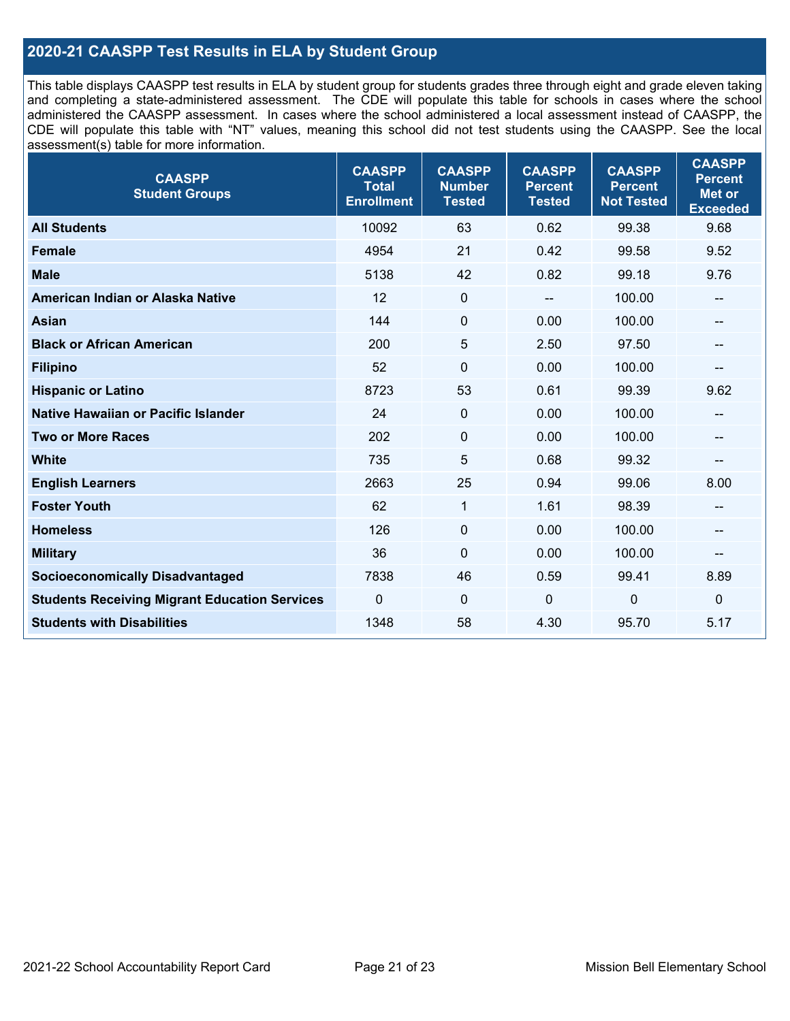## **2020-21 CAASPP Test Results in ELA by Student Group**

This table displays CAASPP test results in ELA by student group for students grades three through eight and grade eleven taking and completing a state-administered assessment. The CDE will populate this table for schools in cases where the school administered the CAASPP assessment. In cases where the school administered a local assessment instead of CAASPP, the CDE will populate this table with "NT" values, meaning this school did not test students using the CAASPP. See the local assessment(s) table for more information.

| <b>CAASPP</b><br><b>Student Groups</b>               | <b>CAASPP</b><br><b>Total</b><br><b>Enrollment</b> | <b>CAASPP</b><br><b>Number</b><br><b>Tested</b> | <b>CAASPP</b><br><b>Percent</b><br><b>Tested</b> | <b>CAASPP</b><br><b>Percent</b><br><b>Not Tested</b> | <b>CAASPP</b><br><b>Percent</b><br><b>Met or</b><br><b>Exceeded</b> |
|------------------------------------------------------|----------------------------------------------------|-------------------------------------------------|--------------------------------------------------|------------------------------------------------------|---------------------------------------------------------------------|
| <b>All Students</b>                                  | 10092                                              | 63                                              | 0.62                                             | 99.38                                                | 9.68                                                                |
| <b>Female</b>                                        | 4954                                               | 21                                              | 0.42                                             | 99.58                                                | 9.52                                                                |
| <b>Male</b>                                          | 5138                                               | 42                                              | 0.82                                             | 99.18                                                | 9.76                                                                |
| American Indian or Alaska Native                     | 12                                                 | $\pmb{0}$                                       |                                                  | 100.00                                               | --                                                                  |
| <b>Asian</b>                                         | 144                                                | $\pmb{0}$                                       | 0.00                                             | 100.00                                               | --                                                                  |
| <b>Black or African American</b>                     | 200                                                | 5                                               | 2.50                                             | 97.50                                                | --                                                                  |
| <b>Filipino</b>                                      | 52                                                 | $\mathbf 0$                                     | 0.00                                             | 100.00                                               | --                                                                  |
| <b>Hispanic or Latino</b>                            | 8723                                               | 53                                              | 0.61                                             | 99.39                                                | 9.62                                                                |
| Native Hawaiian or Pacific Islander                  | 24                                                 | $\mathbf 0$                                     | 0.00                                             | 100.00                                               | --                                                                  |
| <b>Two or More Races</b>                             | 202                                                | $\mathbf 0$                                     | 0.00                                             | 100.00                                               | --                                                                  |
| <b>White</b>                                         | 735                                                | 5                                               | 0.68                                             | 99.32                                                | --                                                                  |
| <b>English Learners</b>                              | 2663                                               | 25                                              | 0.94                                             | 99.06                                                | 8.00                                                                |
| <b>Foster Youth</b>                                  | 62                                                 | 1                                               | 1.61                                             | 98.39                                                | --                                                                  |
| <b>Homeless</b>                                      | 126                                                | $\mathbf 0$                                     | 0.00                                             | 100.00                                               | $-$                                                                 |
| <b>Military</b>                                      | 36                                                 | $\mathbf 0$                                     | 0.00                                             | 100.00                                               | --                                                                  |
| <b>Socioeconomically Disadvantaged</b>               | 7838                                               | 46                                              | 0.59                                             | 99.41                                                | 8.89                                                                |
| <b>Students Receiving Migrant Education Services</b> | $\mathbf 0$                                        | $\mathbf 0$                                     | $\mathbf{0}$                                     | $\mathbf{0}$                                         | $\mathbf 0$                                                         |
| <b>Students with Disabilities</b>                    | 1348                                               | 58                                              | 4.30                                             | 95.70                                                | 5.17                                                                |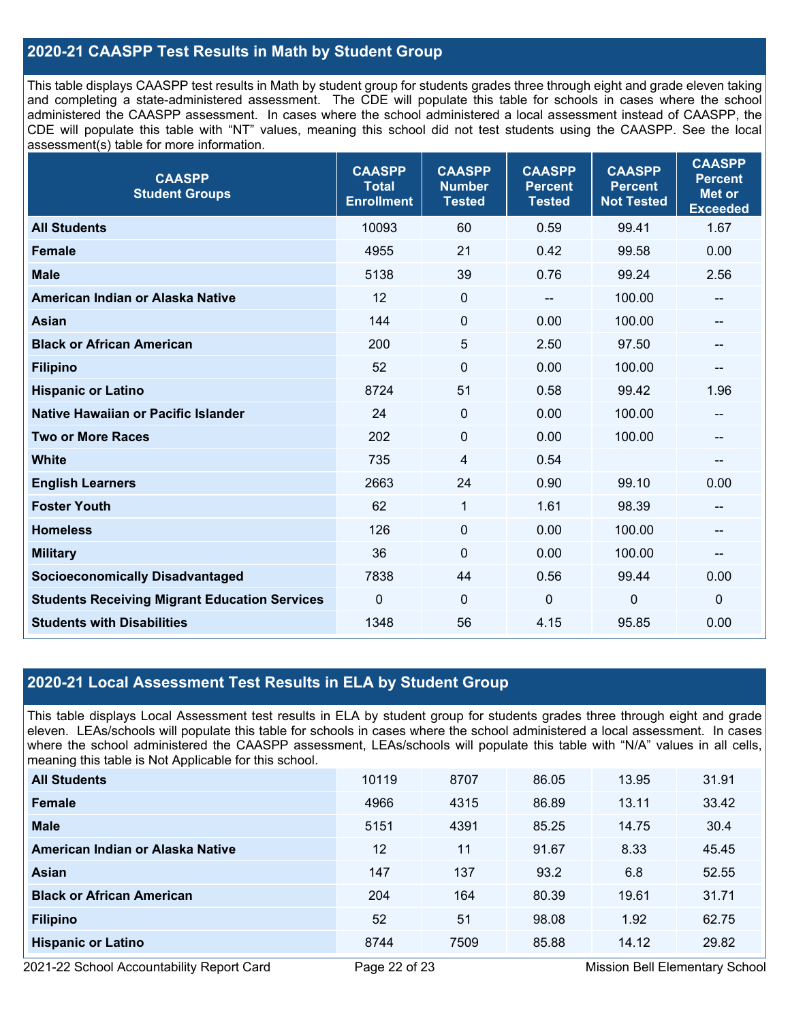## **2020-21 CAASPP Test Results in Math by Student Group**

This table displays CAASPP test results in Math by student group for students grades three through eight and grade eleven taking and completing a state-administered assessment. The CDE will populate this table for schools in cases where the school administered the CAASPP assessment. In cases where the school administered a local assessment instead of CAASPP, the CDE will populate this table with "NT" values, meaning this school did not test students using the CAASPP. See the local assessment(s) table for more information.

| <b>CAASPP</b><br><b>Student Groups</b>               | <b>CAASPP</b><br><b>Total</b><br><b>Enrollment</b> | <b>CAASPP</b><br><b>Number</b><br><b>Tested</b> | <b>CAASPP</b><br><b>Percent</b><br><b>Tested</b> | <b>CAASPP</b><br><b>Percent</b><br><b>Not Tested</b> | <b>CAASPP</b><br><b>Percent</b><br><b>Met or</b><br><b>Exceeded</b> |
|------------------------------------------------------|----------------------------------------------------|-------------------------------------------------|--------------------------------------------------|------------------------------------------------------|---------------------------------------------------------------------|
| <b>All Students</b>                                  | 10093                                              | 60                                              | 0.59                                             | 99.41                                                | 1.67                                                                |
| <b>Female</b>                                        | 4955                                               | 21                                              | 0.42                                             | 99.58                                                | 0.00                                                                |
| <b>Male</b>                                          | 5138                                               | 39                                              | 0.76                                             | 99.24                                                | 2.56                                                                |
| American Indian or Alaska Native                     | 12                                                 | $\pmb{0}$                                       |                                                  | 100.00                                               | --                                                                  |
| <b>Asian</b>                                         | 144                                                | 0                                               | 0.00                                             | 100.00                                               | --                                                                  |
| <b>Black or African American</b>                     | 200                                                | 5                                               | 2.50                                             | 97.50                                                | --                                                                  |
| <b>Filipino</b>                                      | 52                                                 | $\mathbf 0$                                     | 0.00                                             | 100.00                                               | --                                                                  |
| <b>Hispanic or Latino</b>                            | 8724                                               | 51                                              | 0.58                                             | 99.42                                                | 1.96                                                                |
| Native Hawaiian or Pacific Islander                  | 24                                                 | $\mathbf 0$                                     | 0.00                                             | 100.00                                               | --                                                                  |
| <b>Two or More Races</b>                             | 202                                                | $\pmb{0}$                                       | 0.00                                             | 100.00                                               | --                                                                  |
| <b>White</b>                                         | 735                                                | 4                                               | 0.54                                             |                                                      | $\qquad \qquad \qquad -$                                            |
| <b>English Learners</b>                              | 2663                                               | 24                                              | 0.90                                             | 99.10                                                | 0.00                                                                |
| <b>Foster Youth</b>                                  | 62                                                 | $\mathbf{1}$                                    | 1.61                                             | 98.39                                                | --                                                                  |
| <b>Homeless</b>                                      | 126                                                | $\mathbf 0$                                     | 0.00                                             | 100.00                                               | $\qquad \qquad \qquad -$                                            |
| <b>Military</b>                                      | 36                                                 | 0                                               | 0.00                                             | 100.00                                               | --                                                                  |
| <b>Socioeconomically Disadvantaged</b>               | 7838                                               | 44                                              | 0.56                                             | 99.44                                                | 0.00                                                                |
| <b>Students Receiving Migrant Education Services</b> | 0                                                  | 0                                               | $\mathbf 0$                                      | 0                                                    | $\mathbf 0$                                                         |
| <b>Students with Disabilities</b>                    | 1348                                               | 56                                              | 4.15                                             | 95.85                                                | 0.00                                                                |

## **2020-21 Local Assessment Test Results in ELA by Student Group**

This table displays Local Assessment test results in ELA by student group for students grades three through eight and grade eleven. LEAs/schools will populate this table for schools in cases where the school administered a local assessment. In cases where the school administered the CAASPP assessment, LEAs/schools will populate this table with "N/A" values in all cells, meaning this table is Not Applicable for this school.

| <b>All Students</b>              | 10119 | 8707 | 86.05 | 13.95 | 31.91 |
|----------------------------------|-------|------|-------|-------|-------|
| <b>Female</b>                    | 4966  | 4315 | 86.89 | 13.11 | 33.42 |
| <b>Male</b>                      | 5151  | 4391 | 85.25 | 14.75 | 30.4  |
| American Indian or Alaska Native | 12    | 11   | 91.67 | 8.33  | 45.45 |
| Asian                            | 147   | 137  | 93.2  | 6.8   | 52.55 |
| <b>Black or African American</b> | 204   | 164  | 80.39 | 19.61 | 31.71 |
| <b>Filipino</b>                  | 52    | 51   | 98.08 | 1.92  | 62.75 |
| <b>Hispanic or Latino</b>        | 8744  | 7509 | 85.88 | 14.12 | 29.82 |

2021-22 School Accountability Report Card **Page 22 of 23** Mission Bell Elementary School